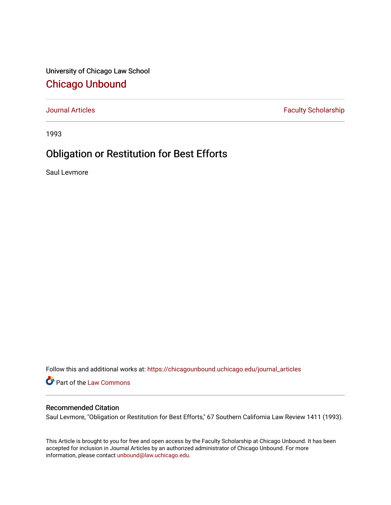University of Chicago Law School [Chicago Unbound](https://chicagounbound.uchicago.edu/)

[Journal Articles](https://chicagounbound.uchicago.edu/journal_articles) **Faculty Scholarship Faculty Scholarship** 

1993

# Obligation or Restitution for Best Efforts

Saul Levmore

Follow this and additional works at: [https://chicagounbound.uchicago.edu/journal\\_articles](https://chicagounbound.uchicago.edu/journal_articles?utm_source=chicagounbound.uchicago.edu%2Fjournal_articles%2F1607&utm_medium=PDF&utm_campaign=PDFCoverPages) 

Part of the [Law Commons](http://network.bepress.com/hgg/discipline/578?utm_source=chicagounbound.uchicago.edu%2Fjournal_articles%2F1607&utm_medium=PDF&utm_campaign=PDFCoverPages)

# Recommended Citation

Saul Levmore, "Obligation or Restitution for Best Efforts," 67 Southern California Law Review 1411 (1993).

This Article is brought to you for free and open access by the Faculty Scholarship at Chicago Unbound. It has been accepted for inclusion in Journal Articles by an authorized administrator of Chicago Unbound. For more information, please contact [unbound@law.uchicago.edu](mailto:unbound@law.uchicago.edu).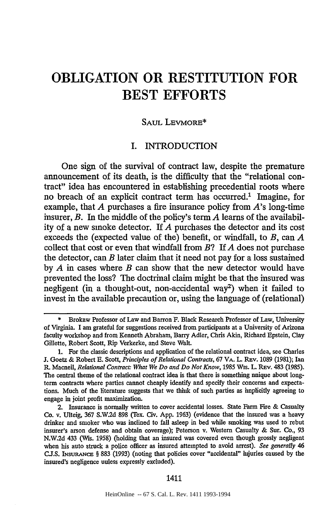#### SAUL LEVMORE\*

# I. INTRODUCTION

One sign of the survival of contract law, despite the premature announcement of its death, is the difficulty that the "relational contract" idea has encountered in establishing precedential roots where no breach of an explicit contract term has occurred.' Imagine, for example, that *A* purchases a fire insurance policy from *A's* long-time insurer, *B.* In the middle of the policy's term *A* learns of the availability of a new smoke detector. If *A* purchases the detector and its cost exceeds the (expected value of the) benefit, or windfall, to *B,* can *A* collect that cost or even that windfall from *B?* If *A* does not purchase the detector, can *B* later claim that it need not pay for a loss sustained by *A* in cases where *B* can show that the new detector would have prevented the loss? The doctrinal claim might be that the insured was negligent (in a thought-out, non-accidental way<sup>2</sup>) when it failed to invest in the available precaution or, using the language of (relational)

<sup>\*</sup> Brokaw Professor of Law and Barron F. Black Research Professor of Law, University of Virginia. I am grateful for suggestions received from participants at a University of Arizona faculty workshop and from Kenneth Abraham, Barry Adler, Chris Akin, Richard Epstein, Clay Gillette, Robert Scott, Rip Verkerke, and Steve Walt.

**<sup>1.</sup>** For the classic descriptions and application of the relational contract idea, see Charles **J.** Goetz **&** Robert **E.** Scott, *Principles of Relational Contracts,* **67** VA. L. REv. **1089** (1981); Ian R. Macneil, *Relational Contract: What We Do and Do Not Know,* 1985 Wis. L. REv. 483 (1985). The central theme of the relational contract idea is that there is something nnique about longterm contracts where parties cannot cheaply identify and specify their concerns and expectations. Much of the literature suggests that we think of such parties as implicitly agreeing to engage in joint profit maximization.

<sup>2.</sup> Insurance is normally written **to** cover accidental losses. State Farm Fire **&** Casualty **Co.** v. Ulteig, **367 S.W.2d 898** (Tex. Civ. **App.** 1963) (evidence that the insured was a heavy drinker and smoker who was inclined to fall asleep in bed while smoking was used to rebut insurer's arson defense and obtain coverage); Peterson v. Western Casualty **&** Sur. **Co., 93 N.W.2d** 433 (Wis. 1958) (holding that an insured was covered even though grossly negligent when his auto struck a police officer as insured attempted to avoid arrest). *See generally 46* **CJ.S.** INsuRaANcE § **883** (1993) (noting that policies cover "accidental" injuries caused **by** the insured's negligence unless expressly excluded).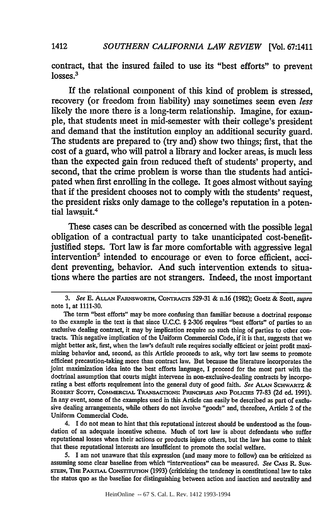contract, that the insured failed to use its "best efforts" to prevent losses.<sup>3</sup>

If the relational component of this kind of problem is stressed, recovery (or freedom from liability) may sometimes seem even *less* likely the more there is a long-term relationship. Imagine, for example, that students meet in mid-semester with their college's president and demand that the institution employ an additional security guard. The students are prepared to (try and) show two things; first, that the cost of a guard, who will patrol a library and locker areas, is much less than the expected gain from reduced theft of students' property, and second, that the crime problem is worse than the students had anticipated when first enrolling in the college. It goes almost without saying that if the president chooses not to comply with the students' request, the president risks only damage to the college's reputation in a potential lawsuit.4

These cases can be described as concerned with the possible legal obligation of a contractual party to take unanticipated cost-benefitjustified steps. Tort law is far more comfortable with aggressive legal intervention<sup>5</sup> intended to encourage or even to force efficient, accident preventing, behavior. And such intervention extends to situations where the parties are not strangers. Indeed, the most important

5. I am not unaware that this expression (and many more to follow) can be criticized as assuming some clear baseline from which "interventions" can be measured. *See* CASS R. **SUN-**STEIN, THE PARTIAL CONSTITUTION (1993) (criticizing the tendency in constitutional law to take the status quo as the baseline for distinguishing between action and inaction and neutrality and

*<sup>3.</sup> See* E. **ALLAN** FARNSWORTH, CONTnRACrS 529-31 & n.16 (1982); Goetz & Scott, *supra* note 1, at 1111-30.

The term "best efforts" may be more confusing than familiar because a doctrinal response to the example in the text is that since U.C.C. § 2-306 requires "best efforts" of parties to an exclusive dealing contract, it may by implication require no such thing of parties to other con tracts. This negative implication of the Uniform Commercial Code, if it is that, suggests that we might better ask, first, when the law's default rule requires socially efficient or joint profit maximizing behavior and, second, as this Article proceeds to ask, why tort law seems to promote efficient precaution-taking more than contract law. But because the literature incorporates the joint maximization idea into the best efforts language, I proceed for the most part with the doctrinal assumption that courts might intervene in non-exclusive-dealing contracts by incorporating a best efforts requirement into the general duty of good faith. *See* **ALAN** SCHWARTZ & **ROBERT SCOTT, COMMERCIAL TRANSACTIONS: PRINCIPLES AND** POLICIS 77-83 **(2d** ed. 1991). In any event, some of the examples used in this Article can easily be described as part of exclusive dealing arrangements, while others do not involve "goods" and, therefore, Article 2 of the Uniform Commercial Code.

<sup>4.</sup> I do not mean to hint that this reputational interest should be understood as the foundation of an adequate incentive scheme. Much of tort law is about defendants who suffer reputational losses when their actions or products injure others, but the law has come to think that these reputational interests are insufficient to promote the social welfare.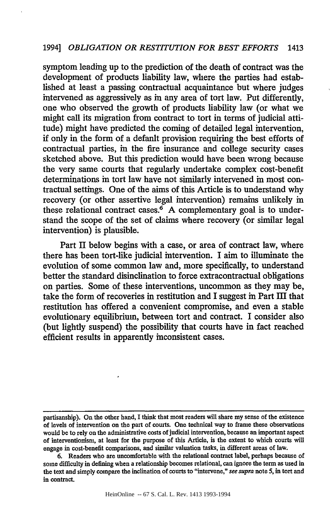symptom leading up to the prediction of the death of contract was the development of products liability law, where the parties had established at least a passing contractual acquaintance but where judges intervened as aggressively as in any area of tort law. Put differently, one who observed the growth of products liability law (or what we might call its migration from contract to tort in terms of judicial attitude) might have predicted the coming of detailed legal intervention, if only in the form of a default provision requiring the best efforts of contractual parties, in the fire insurance and college security cases sketched above. But this prediction would have been wrong because the very same courts that regularly undertake complex cost-benefit determinations in tort law have not similarly intervened in most contractual settings. One of the aims of this Article is to understand why recovery (or other assertive legal intervention) remains unlikely in these relational contract cases.<sup>6</sup> A complementary goal is to understand the scope of the set of claims where recovery (or similar legal intervention) is plausible.

Part II below begins with a case, or area of contract law, where there has been tort-like judicial intervention. I aim to illuminate the evolution of some common law and, more specifically, to understand better the standard disinclination to force extracontractual obligations on parties. Some of these interventions, uncommon as they may be, take the form of recoveries in restitution and I suggest in Part III that restitution has offered a convenient compromise, and even a stable evolutionary equilibrium, between tort and contract. I consider also (but lightly suspend) the possibility that courts have in fact reached efficient results in apparently inconsistent cases.

partisanship). On the other hand, I think that most readers will share my sense of the existence of levels of intervention on the part of courts. One technical way to frame these observations would be to rely on the administrative costs of judicial intervention, because an important aspect of interventionism, at least for the purpose of this Article, is the extent to which courts will engage in cost-benefit comparisons, and similar valuation tasks, in different areas of law.

<sup>6.</sup> Readers who are uncomfortable with the relational contract label, perhaps because of some difficulty in defining when a relationship becomes relational, can ignore the term as used in the text and simply compare the inclination of courts to "intervene," *see supra* note 5, in tort and in contract.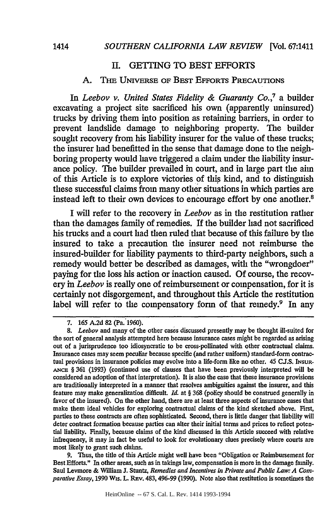### II. **GETTING** TO BEST EFFORTS

#### A. THE UNIVERSE OF BEST EFFORTS PRECAUTIONS

In *Leebov v. United States Fidelity & Guaranty Co.,7* a builder excavating a project site sacrificed his own (apparently uninsured) trucks by driving them into position as retaining barriers, in order to prevent landslide damage to neighboring property. The builder sought recovery from his liability insurer for the value of these trucks; the insurer had benefitted in the sense that damage done to the neighboring property would have triggered a claim under the liability insurance policy. The builder prevailed in court, and in large part the aim of this Article is to explore victories of this kind, and to distinguish these successful claims from many other situations in which parties are instead left to their own devices to encourage effort by one another.8

I will refer to the recovery in *Leebov* as in the restitution rather than the damages family of remedies. If the builder had not sacrificed his trucks and a court had then ruled that because of this failure by the insured to take a precaution the insurer need not reimburse the insured-builder for liability payments to third-party neighbors, such a remedy would better be described as damages, with the "wrongdoer" paying for the loss his action or inaction caused. Of course, the recovery in *Leebov* is really one of reimbursement or compensation, for it is certainly not disgorgement, and throughout this Article the restitution label will refer to the compensatory form of that remedy.<sup>9</sup> In any

9. Thus, the title of this Article might well have been "Obligation or Reimbursement for Best Efforts." In other areas, such as in takings law, compensation is more in the damage family. Saul Levmore & Wiliam J. Stuntz, *Remedies and Incentives in Private and Public Law: A Comparative Essay,* 1990 Wis. L. REV. 483, 496-99 (1990). Note also that restitution is sometimes the

<sup>7. 165</sup> **A.2d** 82 (Pa. 1960).

*<sup>8.</sup> Leebov* and many of the other cases discussed presently may be thought ill-suited for the sort of general analysis attempted here because insurance cases might be regarded as arising out of a jurisprudence too idiosyncratic to be cross-pollinated with other contractual claims. Insurance cases may seem peculiar because specific (and rather uniform) standard-form contractual provisions in insurance policies may evolve into a life-form like no other. 45 CJ.S. INsuR-**AN CE** § 361 (1993) (continued use of clauses that have been previously interpreted will be considered an adoption of that interpretation). It is also the case that these insurance provisions are traditionally interpreted in a manner that resolves ambiguities against the insurer, and this feature may make generalization difficult. *Id.* at § 368 (policy should be construed generally in favor of the insured). On the other hand, there are at least three aspects of insurance cases that make them ideal vehicles for exploring contractual claims of the kind sketched above. First, parties to these contracts are often sophisticated. Second, there is little danger that liability will deter contract formation because parties can alter their initial terms and prices to reflect potential liability. F'nally, because claims of the kind discussed in this Article succeed with relative infrequency, it may in fact be useful to look for evolutionary clues precisely where courts are most likely to grant such claims.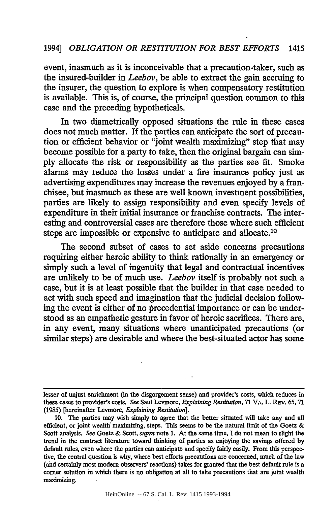event, inasmuch as it is inconceivable that a precaution-taker, such as the insured-builder in *Leebov,* be able to extract the gain accruing to the insurer, the question to explore is when compensatory restitution is available. This is, of course, the principal question common to this case and the preceding hypotheticals.

In two diametrically opposed situations the rule in these cases does not much matter. If the parties can anticipate the sort of precaution or efficient behavior or "joint wealth maximizing" step that may become possible for a party to take, then the original bargain can simply allocate the risk or responsibility as the parties see fit. Smoke alarms may reduce the losses under a fire insurance policy just as advertising expenditures may increase the revenues enjoyed by a franchisee, but inasmuch as these are well known investment possibilities, parties are likely to assign responsibility and even specify levels of expenditure in their initial insurance or franchise contracts. The interesting and controversial cases are therefore those where such efficient steps are impossible or expensive to anticipate and allocate.<sup>10</sup>

The second subset of cases to set aside concerns precautions requiring either heroic ability to think rationally in an emergency or simply such a level of ingenuity that legal and contractual incentives are unlikely to be of much use. *Leebov* itself is probably not such a case, but it is at least possible that the builder in that case needed to act with such speed and imagination that the judicial decision following the event is either of no precedential importance or can be understood as an empathetic gesture in favor of heroic sacrifices. There are, in any event, many situations where unanticipated precautions (or similar steps) are desirable and where the best-situated actor has some

lesser of unjust enrichment (in the disgorgement sense) and provider's costs, which reduces in these cases to provider's costs. See Saul Levmore, *Explaining Restitution*, 71 VA. L. Rev. 65, 71 (1985) [hereinafter Levmore, *Explaining Restitution].*

**<sup>10.</sup>** The parties may wish simply to agree that the better situated will take any and all efficient, or joint wealth maximizing, steps. This seems to be the natural limit of the Goetz  $\&$ Scott analysis. *See* Goetz **&** Scott, *supra* note **1.** At the same time, I do not mean to slight the trend in the contract literature toward thinking of parties as enjoying the savings offered **by** default rules, even where the parties can anticipate and specify fairly easily. From this perspective, the central question is why, where best efforts precautions are concerned, much of the law (and certainly most modem observers' reactions) takes for granted that the best default rule is a corner solution in which there is no obligation at all to take precautions that are joint wealth maximizing.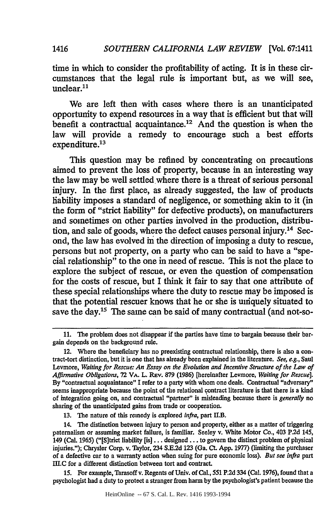time in which to consider the profitability of acting. It is in these circumstances that the legal rule is important but, as we will see, unclear. $11$ 

We are left then with cases where there is an unanticipated opportunity to expend resources in a way that is efficient but that will benefit a contractual acquaintance.<sup>12</sup> And the question is when the law will provide a remedy to encourage such a best efforts  $expenditure.<sup>13</sup>$ 

This question may be refined by concentrating on precautions aimed to prevent the loss of property, because in an interesting way the law may be well settled where there is a threat of serious personal injury. In the first place, as already suggested, the law of products liability imposes a standard of negligence, or something akin to it (in the form of "strict liability" for defective products), on manufacturers and sometimes on other parties involved in the production, distribution, and sale of goods, where the defect causes personal injury.<sup>14</sup> Second, the law has evolved in the direction of imposing a duty to rescue, persons but not property, on a party who can be said to have a "special relationship" to the one in need of rescue. This is not the place to explore the subject of rescue, or even the question of compensation for the costs of rescue, but I think it fair to say that one attribute of these special relationships where the duty to rescue may be imposed is that the potential rescuer knows that he or she is uniquely situated to save the day.<sup>15</sup> The same can be said of many contractual (and not-so-

13. The nature of this remedy is explored *infra,* part II.B.

15. For example, Tarasoff v. Regents of Univ. of Cal., 551 P.2d 334 (Cal. 1976), found that a psychologist had a duty to protect a stranger from harm by the psychologist's patient because the

**<sup>11.</sup>** The problem does not disappear if the parties have time to bargain because their bargain depends on the background rule.

<sup>12.</sup> Where the beneficiary has no preexisting contractual relationship, there is also a contract-tort distinction, but it is one that has already been explained in the literature. *See, e.g.,* Saul Levmore, *Waiting for Rescue; An Essay on the Evolution and Incentive Structure of the Law of Affirmative Obligations,* 72 VA. L. REv. 879 (1986) [hereinafter Levmore, *Waiting for Rescue].* By "contractual acquaintance" I refer to a party with whom one deals. Contractual "adversary" seems inappropriate because the point of the relational contract literature is that there is a kind of integration going on, and contractual "partner" is misleading because there is *generally* no sharing of the unanticipated gains from trade or cooperation.

<sup>14.</sup> The distinction between injury to person and property, either as a matter of triggering paternalism or assuming market failure, is familiar. Seeley v. White Motor Co., 403 P.2d 145, 149 (Cal. 1965) ("[Sjtrict liability [is]... designed **...** to govern the distinct problem of physical injuries."); Chrysler Corp. v. Taylor, 234 S.E.2d 123 (Ga. Ct. App. **1977)** (limiting the purchaser of a defective car to a warranty action when suing for pure economic loss). *But see infra* part flI.C for a different distinction between tort and contract.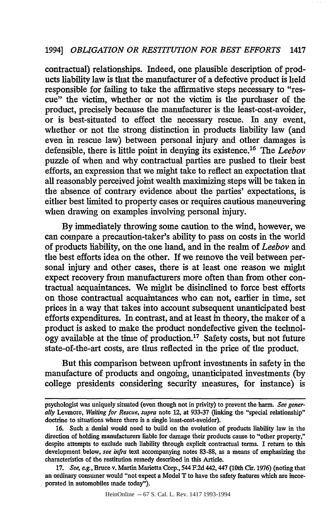contractual) relationships. Indeed, one plausible description of products liability law is that the manufacturer of a defective product is held responsible for failing to take the affirmative steps necessary to "rescue" the victim, whether or not the victim is the purchaser of the product, precisely because the manufacturer is the least-cost-avoider, or is best-situated to effect the necessary rescue. In any event, whether or not the strong distinction in products liability law (and even in rescue law) between personal injury and other damages is defensible, there is little point in denying its existence.16 The *Leebov* puzzle of when and why contractual parties are pushed to their best efforts, an expression that we might take to reflect an expectation that all reasonably perceived joint wealth maximizing steps will be taken in the absence of contrary evidence about the parties' expectations, is either best limited to property cases or requires cautious maneuvering when drawing on examples involving personal injury.

**By** immediately throwing some caution to the wind, however, we can compare a precaution-taker's ability to pass on costs in the world of products liability, on the one hand, and in the realm of *Leebov* and the best efforts idea on the other. **If** we remove the veil between personal injury and other cases, there is at least one reason we might expect recovery from manufacturers more often than from other contractual acquaintances. We might be disinclined to force best efforts on those contractual acquaintances who can not, earlier in time, set prices in a way that takes into account subsequent unanticipated best efforts expenditures. In contrast, and at least in theory, the maker of a product is asked to make the product nondefective given the technol $ogy$  available at the time of production.<sup>17</sup> Safety costs, but not future state-of-the-art costs, are thus reflected in the price of the product.

But this comparison between upfront investments in safety in the manufacture of products and ongoing, unanticipated investments **(by** college presidents considering security measures, for instance) is

HeinOnline -- 67 S. Cal. L. Rev. 1417 1993-1994

psychologist was uniquely situated (even though not in privity) to prevent the harm. *See generally* Levmore, *Waiting for Rescue, supra* note 12, at **933-37** (linking the "special relationship" doctrine to situations where there is a single least-cost-avoider).

**<sup>16.</sup>** Such a denial would need to build on the evolution of products liability law in the direction of holding manufacturers liable for damage their products cause to "other property," despite attempts to exclude such liability through explicit contractual terms. I return to this development below, *see infra* text accompanying notes **83-88,** as a means of emphasizing the characteristics of the restitution remedy described in this Article.

**<sup>17.</sup>** *See,* eg., Bruce v. Martin Marietta Corp., 544 F.2d 442,447 (10th Cir. **1976)** (noting that an ordinary consumer would "not expect a Model T to have the safety features which are incorporated in automobiles made today").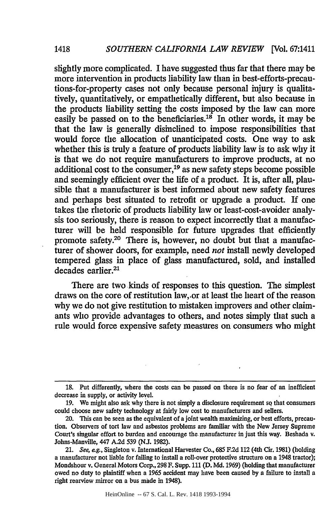slightly more complicated. I have suggested thus far that there may be more intervention in products liability law than in best-efforts-precautions-for-property cases not only because personal injury is qualitatively, quantitatively, or empathetically different, but also because in the products liability setting the costs imposed by the law can more easily be passed on to the beneficiaries.<sup>18</sup> In other words, it may be that the law is generally disinclined to. impose responsibilities that would force the allocation of unanticipated costs. One way to ask whether this is truly a feature of products liability law is to ask why it is that we do not require manufacturers to improve products, at no additional cost to the consumer,19 as new safety steps become possible and seemingly efficient over the life of a product. It is, after all, plausible that a manufacturer is best informed about new safety features and perhaps best situated to retrofit or upgrade a product. If one takes the rhetoric of products liability law or least-cost-avoider analysis too seriously, there is reason to expect incorrectly that a manufacturer will be held responsible for future upgrades that efficiently promote safety.20 There is, however, no doubt but that a manufacturer of shower doors, for example, need *not* install newly developed tempered glass in place of glass manufactured, sold, and installed decades earlier.<sup>21</sup>

There are two kinds of responses to this question. The simplest draws on the core of restitution law, *.or* at least the heart of the reason why we do not give restitution to mistaken improvers and other claimants who provide advantages to others, and notes simply that such a rule would force expensive safety measures on consumers who might

**<sup>18.</sup>** Put differently, where the costs can be passed on there is no fear of an inefficient decrease in supply, or activity level.

<sup>19.</sup> We might also ask why there is not simply a disclosure requirement so that consumers could choose new safety technology at fairly low cost to manufacturers and sellers.

<sup>20.</sup> This can be seen as the equivalent of a joint wealth maximizing, or best efforts, precaution. Observers of tort law and asbestos problems are familiar with the New Jersey Supreme Court's singular effort to burden and encourage the. manufacturer in just this way. Beshada v. Johns-Manville, 447 A.2d 539 (NJ. 1982).

<sup>21.</sup> *See,* e.g., Singleton v. International Harvester Co., 685 F.2d 112 (4th Cir. 1981) (holding a manufacturer not liable for failing to install a roll-over protective structure on a 1948 tractor); Mondshour v. General Motors Corp., **298** F. Supp. 111 (D. Md. 1969) (holding that manufacturer owed no duty to plaintiff when a 1965 accident may have been caused by a failure to install a right rearview mirror on a bus made in 1948).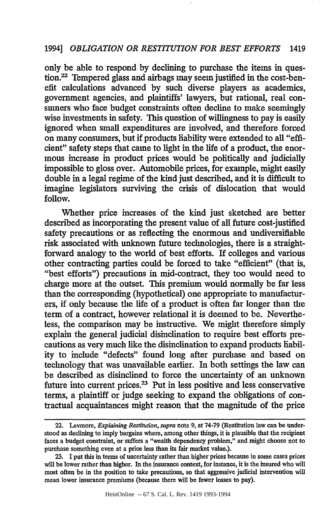only be able to respond by declining to purchase the items in question.<sup>22</sup> Tempered glass and airbags may seem justified in the cost-benefit calculations advanced by such diverse players as academics, government agencies, and plaintiffs' lawyers, but rational, real consumers who face budget constraints often decline to make seemingly wise investments in safety. This question of willingness to pay is easily ignored when small expenditures are involved, and therefore forced on many consumers, but if products liability were extended to all "efficient" safety steps that came to light in the life of a product, the enormous increase in product prices would be politically and judicially impossible to gloss over. Automobile prices, for example, might easily double in a legal regime of the kind just described, and it is difficult to imagine legislators surviving the crisis of dislocation that would follow.

Whether price increases of the kind just sketched are better described as incorporating the present value of all future cost-justified safety precautions or as reflecting the enormous and undiversifiable risk associated with unknown future technologies, there is a straightforward analogy to the world of best efforts. **If** colleges and various other contracting parties could be forced to take "efficient" (that is, "best efforts") precautions in mid-contract, they too would need to charge more at the outset. This premium would normally be far less than the corresponding (hypothetical) one appropriate to manufacturers, if only because the life of a product is often far longer than the term of a contract, however relational it is deemed to be. Nevertheless, the comparison may be instructive. We might therefore simply explain the general judicial disinclination to require best efforts precautions as very much like the disinclination to expand products liability to include "defects" found long after purchase and based on technology that was unavailable earlier. In both settings the law can be described as disinclined to force the uncertainty of an unknown future into current prices.<sup>23</sup> Put in less positive and less conservative terms, a plaintiff or judge seeking to expand the obligations of contractual acquaintances might reason that the magnitude of the price

<sup>22.</sup> Levmore, *Explaining Restitution, supra* note **9,** at **74-79** (Restitution law can be understood as declining to imply bargains where, among other things, it is plausible that the recipient faces a budget constraint, or suffers a "wealth dependency problem," and might choose not to purchase something even at a price less than its fair market value.).

**<sup>23.</sup> I** put this in terms of uncertainty rather than higher prices because in some cases prices will be lower rather than higher. In the insurance context, for instance, it is the insured who will most often be in the position to take precautions, so that aggressive judicial intervention will mean lower insurance premiums (because there will be fewer losses to pay).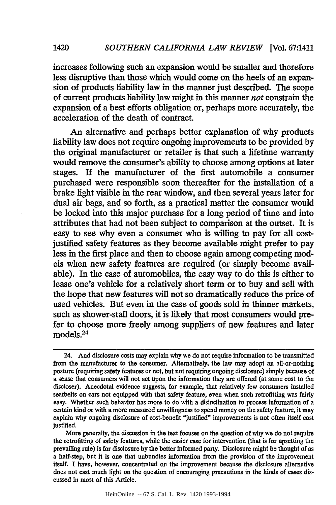increases following such an expansion would be smaller and therefore less disruptive than those which would come on the heels of an expansion of products liability law in the manner just described. The scope of current products liability law might in this manner *not* constrain the expansion of a best efforts obligation or, perhaps more accurately, the acceleration of the death of contract.

1420

An alternative and perhaps better explanation of why products liability law does not require ongoing improvements to be provided by the original manufacturer or retailer is that such a lifetime warranty would remove the consumer's ability to choose among options at later stages. If the manufacturer of the first automobile a consumer purchased were responsible soon thereafter for the installation of a brake light visible in the rear window, and then several years later for dual air bags, and so forth, as a practical matter the consumer would be locked into this major purchase for a long period of time and into attributes that had not been subject to comparison at the outset. It is easy to see why even a consumer who is willing to pay for all costjustified safety features as they become available might prefer to pay less in the first place and then to choose again among competing models when new safety features are required (or simply become available). In the case of automobiles, the easy way to do this is either to lease one's vehicle for a relatively short term or to buy and sell with the hope that new features will not so dramatically reduce the price of used vehicles. But even in the case of goods sold in thinner markets, such as shower-stall doors, it is likely that most consumers would prefer to choose more freely among suppliers of new features and later models.24

<sup>24.</sup> And disclosure costs may explain why we do not require information to be transmitted from the manufacturer to the consumer. Alternatively, the law may adopt an all-or-nothing posture (requiring safety features or not, but not requiring ongoing disclosure) simply because of a sense that consumers will not act upon the information they are offered (at some cost to the discloser). Anecdotal evidence suggests, for example, that relatively few consumers installed seatbelts on cars not equipped with that safety feature, even when such retrofitting was fairly easy. Whether such behavior has more to do with a disinclination to process information of a certain kind or with a more measured unwillingness to spend money on the safety feature, it may explain why ongoing disclosure of cost-benefit "justified" improvements is not often itself cost justified.

More generally, the discussion in the text focuses on the question of why we do not require the retrofitting of safety features, while the easier case for intervention (that is for upsetting the prevailing rule) is for disclosure by the better informed party. Disclosure might be thought of as a half-step, but it is one that unbundles information from the provision of the improvement itself. I have, however, concentrated on the improvement because the disclosure alternative does not cast much light on the question of encouraging precautions in the kinds of cases discussed in most of this Article.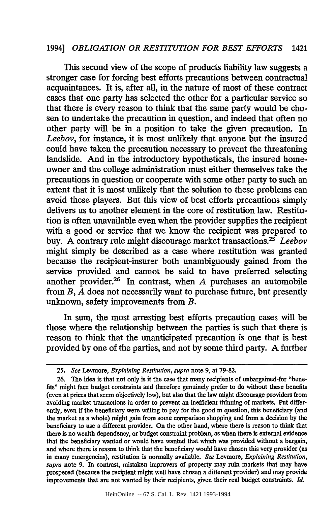This second view of the scope of products liability law suggests a stronger case for forcing best efforts precautions between contractual acquaintances. It is, after all, in the nature of most of these contract cases that one party has selected the other for a particular service so that there is every reason to think that the same party would be chosen to undertake the precaution in question, and indeed that often no other party will be in a position to take the given precaution. In *Leebov,* for instance, it is most unlikely that anyone but the insured could have taken the precaution necessary to prevent the threatening landslide. And in the introductory hypotheticals, the insured homeowner and the college administration must either themselves take the precautions in question or cooperate with some other party to such an extent that it is most unlikely that the solution to these problems can avoid these players. But this view of best efforts precautions simply delivers us to another element in the core of restitution law. Restitution is often unavailable even when the provider supplies the recipient with a good or service that we know the recipient was prepared to buy. A contrary rule might discourage market transactions.<sup>25</sup> Leebov might simply be described as a case where restitution was granted because the recipient-insurer both unambiguously gained from the service provided and cannot be said to have preferred selecting another provider.26 In contrast, when *A* purchases an automobile from *B, A* does not necessarily want to purchase future, but presently unknown, safety improvements from *B.*

In sum, the most arresting best efforts precaution cases will be those where the relationship between the parties is such that there is reason to think that the unanticipated precaution is one that is best provided by one of the parties, and not by some third party. A further

*<sup>25.</sup> See* Levnore, *Explaining Restitution, supra* note **9,** at 79-82.

<sup>26.</sup> The idea is that not only is it the case that many recipients of unbargained-for "benefits" might face budget constraints and therefore genuinely prefer to do without these benefits (even at prices that seem objectively low), but also that the law might discourage providers from avoiding market transactions in order to prevent an inefficient thinning of markets. Put differently, even if the beneficiary were willing to pay for the good in question, this beneficiary (and the market as a whole) might gain from some comparison shopping and from a decision by the beneficiary to use a different provider. On the other hand, where there is reason to think that there is no wealth dependency, or budget constraint problem, as when there is external evidence that the beneficiary wanted or would have wanted that which was provided without a bargain, and where there is reason to think that the beneficiary would have chosen this very provider (as in many emergencies), restitution is normally available. *See* Levmore, *Explaining Restitution, supra* note 9. In contrast, mistaken improvers of property may ruin markets that may have prospered (because the recipient might well have chosen a different provider) and may provide improvements that are not wanted by their recipients, given their real budget constraints. *Id.*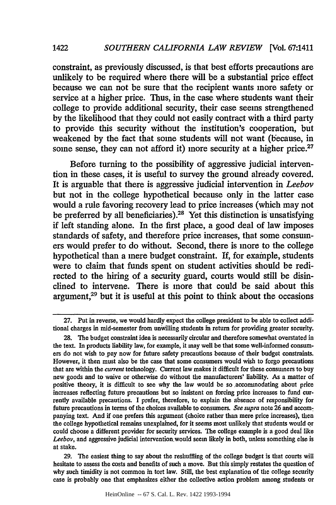constraint, as previously discussed, is that best efforts precautions are unlikely to be required where there will be a substantial price effect because we can not be sure that the recipient wants more safety or service at a higher price. Thus, in the case where students want their college to provide additional security, their case seems strengthened **by** the likelihood that they could not easily contract with a third party to provide this security without the institution's cooperation, but weakened **by** the fact that some students will not want (because, in some sense, they can not afford it) more security at a higher price.<sup>27</sup>

Before turning to the possibility of aggressive judicial intervention in these cases, it is useful to survey the ground already covered. It is arguable that there is aggressive judicial intervention in *Leebov* but not in the college hypothetical because only in the latter case would a rule favoring recovery lead to price increases (which may not be preferred **by** all beneficiaries). 8 Yet this distinction **is** unsatisfying if left standing alone. In the first place, a good deal of law imposes standards of safety, and therefore price increases, that some consumers would prefer to do without. Second, there is more to the college hypothetical than a mere budget constraint. If, for example, students were to claim that funds spent on student activities should be redirected to the hiring of a security guard, courts would still be disinclined to intervene. There is more that could be said about this argument, $29$  but it is useful at this point to think about the occasions

**<sup>27.</sup>** Put in reverse, we would hardly expect the college president to be able to collect additional charges in mid-semester from unwilling students in return for providing greater security.

**<sup>28.</sup>** The budget constraint idea is necessarily circular and therefore somewhat overstated in the text. In products liability law, for example, it may well be that some well-informed consumers do not wish to pay now for future safety precautions because of their budget constraints. However, it then must also be the case that some consumers would wish to forgo precautions that are within the *current* technology. Current law makes it difficult for these consumers to buy new goods and to waive or otherwise do without the manufacturers' liability. As a matter of positive theory, it is difficult to see why the law would be so accommodating about price increases reflecting future precautions but so insistent on forcing price increases to fund currently available precautions. I prefer, therefore, to explain the absence of responsibility for future precautions in terms of the choices available to consumers. *See supra* note **26** and accompanying text. And if one prefers this argument (choice rather than mere price increases), then the college hypothetical remains unexplained, for it seems most unlikely that students would or could choose a different provider for security services. The college example is a good deal like *Leebov,* and aggressive judicial intervention.would seem likely in both, unless something else is at stake.

**<sup>29.</sup>** The easiest thing to say about the reshuffling of the college budget is that courts will hesitate to assess the costs and benefits of such a move. But this simply restates the question of why such timidity is not common in tort law. Still, the best explanation of the college security case is probably one that emphasizes either the collective action problem among students or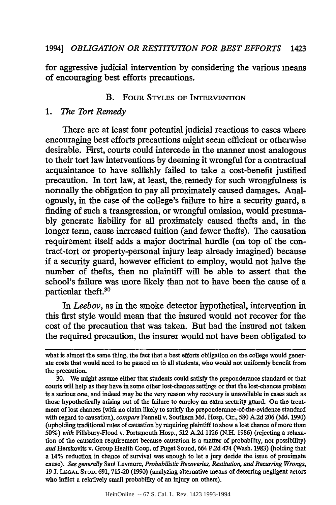for aggressive judicial intervention by considering the various means of encouraging best efforts precautions.

## B. FOUR **STYLES** OF **INTERVENTION**

#### *1. The Tort Remedy*

There are at least four potential judicial reactions to cases where encouraging best efforts precautions might seem efficient or otherwise desirable. First, courts could intercede in the manner most analogous to their tort law interventions by deeming it wrongful for a contractual acquaintance to have selfishly failed to take a cost-benefit justified precaution. In tort law, at least, the remedy for such wrongfulness is normally the obligation to pay all proximately caused damages. Analogously, in the case of the college's failure to hire a security guard, a finding of such a transgression, or wrongful omission, would presumably generate liability for all proximately caused thefts and, in the longer term, cause increased tuition (and fewer thefts). The causation requirement itself adds a major doctrinal hurdle (on top of the contract-tort or property-personal injury leap already imagined) because if a security guard, however efficient to employ, would not halve the number of thefts, then no plaintiff will be able to assert that the school's failure was more likely than not to have been the cause of a particular theft.30

In *Leebov,* as in the smoke detector hypothetical, intervention in this first style would mean that the insured would not recover for the cost of the precaution that was taken. But had the insured not taken the required precaution, the insurer would not have been obligated to

what is almost the same thing, the fact that a best efforts obligation on the college would generate costs that would need to be passed on *tb* all students, who would not uniformly benefit from the precaution.

**<sup>30.</sup>** We might assume either that students could satisfy the preponderance standard or that courts will help as they have in some other lost-chances settings or that the lost-chances problem is a serious one, and indeed may be the very reason why recovery is unavailable in cases such as those hypothetically arising out of the failure to employ an extra security guard. On the treatment of lost chances (with no claim likely to satisfy the preponderance-of-the-evidence standard with regard to causation), *compare* Fennell v. Southern **Md.** Hosp. Ctr., 580 **A.2d 206 (Md. 1990)** (upholding traditional rules of causation **by** requiring plaintiff to show a lost chance of more than **50%)** *with* Pillsbury-Flood v. Portsmouth Hosp., **512 A.2d 1126 (N.H. 1986)** (rejecting a relaxation of the causation requirement because causation is a matter of probability, not possibility) *and* Herskovits v. Group Health Coop. of Puget Sound, 664 **P.2d** 474 (Wash. **1983)** (holding that a 14% reduction in chance of survival was enough to let a jury decide the issue of proximate cause). *See generally* Saul Levmore, *Probabilistic Recoveries, Restitution, and Recurring Wrongs,* 19 **J.** LEGAL **STUD.** 691, 715-20 (1990) (analyzing alternative means of deterring negligent actors who inflict a relatively small probability of an injury on others).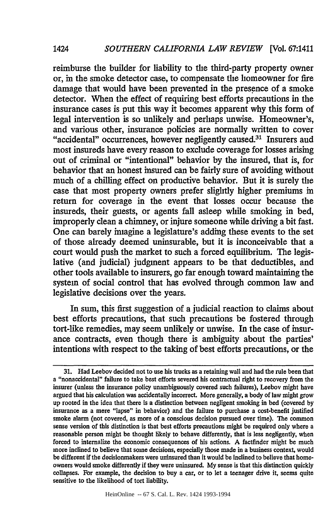**1424**

reimburse the builder for liability to the third-party property owner or, in the smoke detector case, to compensate the homeowner for fire damage that would have been prevented in the presence of a smoke detector. When the effect of requiring best efforts precautions in the insurance cases is put this way it becomes apparent why this form of legal intervention is so unlikely and perhaps unwise. Homeowner's, and various other, insurance policies are normally written to cover "accidental" occurrences, however negligently caused.<sup>31</sup> Insurers and most insureds have every reason to exclude coverage for losses arising out of criminal or "intentional" behavior by the insured, that is, for behavior that an honest insured can be fairly sure of avoiding without much of a chilling effect on productive behavior. But it is surely the case that most property owners prefer slightly higher premiums in return for coverage in the event that losses occur because the insureds, their guests, or agents fall asleep while smoking in bed, improperly clean a chimney, or injure someone while driving a bit fast. One can barely imagine a legislature's adding these events to the set of those already deemed uninsurable, but it is inconceivable that a court would push the market to such a forced equilibrium. The legislative (and judicial) judgment appears to be that deductibles, and other tools available to insurers, go far enough toward maintaining the system of social control that has evolved through common law and legislative decisions over the years.

In sum, this first suggestion of a judicial reaction to claims about best efforts precautions, that such precautions be fostered through tort-like remedies, may seem unlikely or unwise. In the case of insurance contracts, even though there is ambiguity about the parties' intentions with respect to the taking of best efforts precautions, or the

HeinOnline -- 67 S. Cal. L. Rev. 1424 1993-1994

**<sup>31.</sup>** Had Leebov decided not to use his trucks as a retaining wall and had the rule been that a "nonaccidental" failure to take best efforts severed his contractual right to recovery from the insurer (unless the insurance policy unambiguously covered such failures), Leebov might have argued that his calculation was accidentally incorrect. More generally, a body of law might grow up rooted in the idea that there is a distinction between negligent smoking in bed (covered by insurance as a mere "lapse" in behavior) and the failure to purchase a cost-benefit justified smoke alarm (not covered, as more of a conscious decision pursued over time). **The** common sense version of this distinction is that best efforts precautions might be required only where a reasonable person might be thought likely to behave differently, that is less negligently, when forced to internalize the economic consequences of his actions. **A** factfinder might be much more inclined to believe that some decisions, especially those made in a business context, would be different if the decisionmakers were uninsured than it would be inclined to believe that homeowners would smoke differently if they were uninsured. My sense is that this distinction quickly collapses. For example, the decision to buy a car, or to let a teenager drive it, seems quite sensitive to the likelihood of tort liability.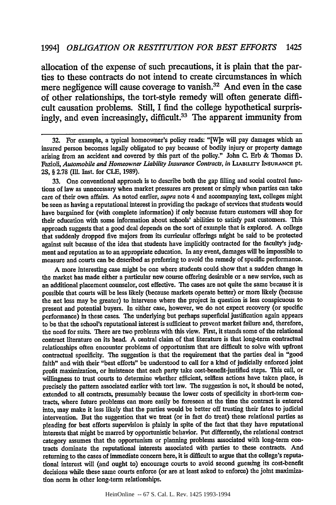allocation of the expense of such precautions, it is plain that the parties to these contracts do not intend to create circumstances in which mere negligence will cause coverage to vanish.<sup>32</sup> And even in the case of other relationships, the tort-style remedy will often generate difficult causation problems. Still, I find the college hypothetical surprisingly, and even increasingly, difficult.<sup>33</sup> The apparent immunity from

32. For example, a typical homeowner's policy reads: "[W]e will pay damages which an insured person becomes legally obligated to pay because of bodily injury or property damage arising from an accident and covered by this part of the policy." John C. Erb & Thomas D. Fazioli, *Automobile and Homeowner Liability Insurance Contracts*, in LIABILITY INSURANCE pt. **2S,** § 2.78 (Ill. Inst. for CLE, 1989).

33. One conventional approach is to describe both the gap filling and social control functions of law as unnecessary when market pressures are present or simply when parties can take care of their own affairs. As noted earlier, *supra* note 4 and accompanying text, colleges might be seen as having a reputational interest in providing the package of services that students would have bargained for (with complete information) if only because future customers will shop for their education with some information about schools' abilities to satisfy past customers. This approach suggests that a good deal depends on the sort of example that is explored. A college that suddenly dropped five majors from its curricular offerings might be said to be protected against suit because of the idea that students have implicitly contracted for the faculty's **judg**ment and reputation as to an appropriate education. In any event, damages will be impossible to measure and courts can be described as preferring to avoid the remedy of specific performance.

A more interesting case might be one where students could show that a sudden change in the market has made either a particular new course offering desirable or a new service, such as an additional placement counselor, cost effective. The cases are not quite the same because it is possible that courts will be less likely (because markets operate better) or more likely (because the net loss may be greater) to intervene where the project in question is less conspicuous to present and potential buyers. In either case, however, we do not expect recovery (or specific performance) in these cases. The underlying but perhaps superficial justification again appears to be that the school's reputational interest is sufficient to prevent market failure and, therefore, the need for suits. There are two problems with this view. First, it stands some of the relational contract literature on its head. **A** central claim of that literature is that long-term contractual relationships often encounter problems of opportunism that are difficult to solve with upfront contractual specificity. The suggestion is that the requirement that the parties deal in "good faith" and with their "best efforts" be understood to call for a kind of judicially enforced joint profit maximization, or insistence that each party take cost-benefit-justified steps. This call, or willingness to trust courts to determine whether efficient, selfless actions have taken place, is precisely the pattern associated earlier with tort law. The suggestion is not, it should be noted, extended to all contracts, presumably because the lower costs of specificity in short-term contracts, where future problems can more easily be foreseen at the time the contract is entered into, may make it less likely that the parties would be better off trusting their fates to judicial intervention. But the suggestion that we treat (or in fact do treat) these relational parties as pleading for best efforts supervision is plainly in spite of the fact that they have reputational interests that might be marred **by** opportunistic behavior. Put differently, the relational contract category assumes that the opportunism or planning problems associated with long-term contracts dominate the reputational interests associated with parties to these contracts. And returning to the cases of immediate concern here, it is difficult to argue that the college's reputational interest will (and ought to) encourage courts to avoid second guessing its cost-benefit decisions while these same courts enforce (or are at least asked to enforce) the joint maximization norm in other long-term relationships.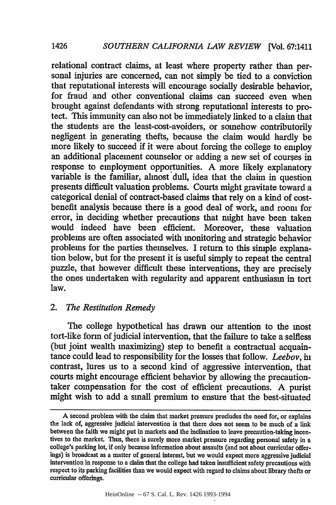relational contract claims, at least where property rather than personal injuries are concerned, can not simply be tied to a conviction that reputational interests will encourage socially desirable behavior, for fraud and other conventional claims can succeed even when brought against defendants with strong reputational interests to protect. This immunity can also not be immediately linked to a claim that the students are the least-cost-avoiders, or somehow contributorily negligent in generating thefts, because the claim would hardly be more likely to succeed if it were about forcing the college to employ an additional placement counselor or adding a new set of courses in response to employment opportunities. A more likely explanatory variable is the familiar, almost dull, idea that the claim in question presents difficult valuation problems. Courts might gravitate toward a categorical denial of contract-based claims that rely on a kind of costbenefit analysis because there is a good deal of work, and room for error, in deciding whether precautions that might have been taken would indeed have been efficient. Moreover, these valuation problems are often associated with monitoring and strategic behavior problems for the parties themselves. I return to this simple explanation below, but for the present it is useful simply to repeat the central puzzle, that however difficult these interventions, they are precisely the ones undertaken with regularity and apparent enthusiasm in tort law.

# *2. The Restitution Remedy*

The college hypothetical has drawn our attention to the most tort-like form of judicial intervention, that the failure to take a selfless (but joint wealth maximizing) step to benefit a contractual acquaintance could lead to responsibility for the losses that follow. *Leebov, in* contrast, lures us to a second kind of aggressive intervention, that courts might encourage efficient behavior by allowing the precautiontaker compensation for the cost of efficient precautions. A purist might wish to add a small premium to ensure that the best-situated

1426

**A** second problem with the claim that market pressure precludes the need for, or explains the lack of, aggressive judicial intervention is that there does not seem to be much of a link between the faith we might put in markets and the inclination to leave precaution-taking incentives to the market. Thus, there is surely more market pressure regarding personal safety in a college's parking lot, if only because information about assaults (and not about curricular offerings) is broadcast as a matter of general interest, but we would expect more aggressive judicial intervention in response to a claim that the college had taken insufficient safety precautions with respect to its parking facilities than we would expect with regard to claims about library thefts or curricular offerings.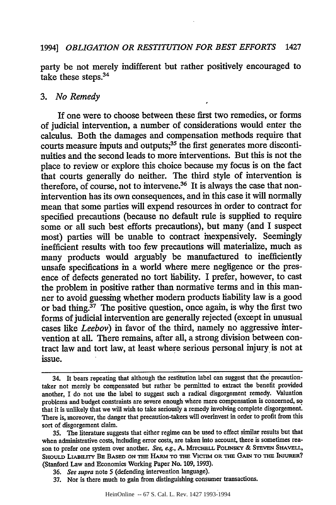party be not merely indifferent but rather positively encouraged to take these steps.<sup>34</sup>

#### *3. No Remedy*

If one were to choose between these first two remedies, or forms of judicial intervention, a number of considerations would enter the calculus. Both the damages and compensation methods require that courts measure inputs and outputs;<sup>35</sup> the first generates more discontinuities and the second leads to more interventions. But this is not the place to review or explore this choice because my focus is on the fact that courts generally do neither. The third style of intervention is therefore, of course, not to intervene.<sup>36</sup> It is always the case that nonintervention has its own consequences, and in this case it will normally mean that some parties will expend resources in order to contract for specified precautions (because no default rule is supplied to require some or all such best efforts precautions), but many (and I suspect most) parties will be unable to contract inexpensively. Seemingly inefficient results with too few precautions will materialize, much as many products would arguably be manufactured to inefficiently unsafe specifications in a world where mere negligence or the presence of defects generated no tort liability. I prefer, however, to cast the problem in positive rather than normative terms and in this manner to avoid guessing whether modem products liability law is a good or bad thing.<sup>37</sup> The positive question, once again, is why the first two forms of judicial intervention are generally rejected (except in unusual cases like *Leebov)* in favor of the third, namely no aggressive intervention at all. There remains, after all, a strong division between contract law and tort law, at least where serious personal injury is not at issue.

- **36.** *See supra* note 5 (defending intervention language).
- **37.** Nor is there much to gain from distinguishing consumer transactions.

<sup>34.</sup> It bears repeating that although the restitution label can suggest that the precautiontaker not merely be conpensated but rather be permitted to extract the benefit provided another, I do not use the label to suggest such a radical disgorgement remedy. Valuation problems and budget constraints are severe enough where mere compensation is concerned, so that it is unlikely that we will wish to take seriously a remedy involving complete disgorgement There is, moreover, the danger that precaution-takers will overinvest in order to profit from this sort of disgorgement claim.

**<sup>35.</sup>** The literature suggests that either regime can be used to effect similar results but that when administrative costs, including error costs, are taken into account, there is sometimes reason to prefer one system over another. See, e.g., A. MITCHELL POLINSKY & STEVEN SHAVELL, SHOULD LIABILITY BE BASED ON THE HARM TO THE VICTIM OR THE GAIN TO THE INJURER? (Stanford Law and Economics Working Paper No. **109, 1993).**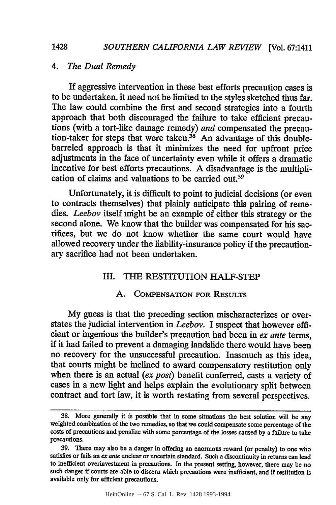# *4. The Dual Remedy*

If aggressive intervention in these best efforts precaution cases is to be undertaken, it need not be limited to the styles sketched thus far. The law could combine the first and second strategies into a fourth approach that both discouraged the failure to take efficient precautions (with a tort-like damage remedy) *and* compensated the precaution-taker for steps that were taken.<sup>38</sup> An advantage of this doublebarreled approach is that it minimizes the need for upfront price adjustments in the face of uncertainty even while it offers a dramatic incentive for best efforts precautions. A disadvantage is the multiplication of claims and valuations to be carried out.<sup>39</sup>

Unfortunately, it is difficult to point to judicial decisions (or even to contracts themselves) that plainly anticipate this pairing of remedies. *Leebov* itself might be an example of either this strategy or the second alone. We know that the builder was compensated for his sacrifices, but we do not know whether the same court would have allowed recovery under the liability-insurance policy if the precautionary sacrifice had not been undertaken.

#### III. THE RESTITUTION HALF-STEP

#### A. COMPENSATION FOR RESULTS

My guess is that the preceding section mischaracterizes or overstates the judicial intervention in *Leebov.* I suspect that however efficient or ingenious the builder's precaution had been in *ex ante* terms, if it had failed to prevent a damaging landslide there would have been no recovery for the unsuccessful precaution. Inasmuch as this idea, that courts might be inclined to award compensatory restitution only when there is an actual *(ex post)* benefit conferred, casts a variety of cases in a new light and helps explain the evolutionary split between contract and tort law, it is worth restating from several perspectives.

**<sup>38.</sup>** More generally it is possible that in some situations the best solution will be any weighted combination of the two remedies, so that we could compensate some percentage of the costs of precautions and penalize with some percentage of the losses caused by a failure to take precautions.

<sup>39.</sup> There may also be a danger in offering an enormous reward (or penalty) to one who satisfies or fails an *ex* ante unclear or uncertain standard. Such a discontinuity in returns can lead to inefficient overinvestment in precautions. In the present setting, however, there may be no such danger if courts are able to discern which precautions were inefficient, and if restitution is available only for efficient precautions.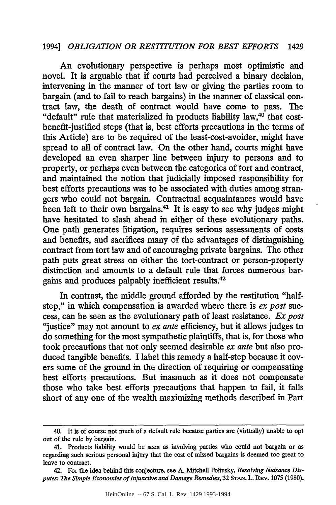An evolutionary perspective is perhaps most optimistic and novel. It is arguable that if courts had perceived a binary decision, intervening in the manner of tort law or giving the parties room to bargain (and to fail to reach bargains) in the manner of classical contract law, the death of contract would have come to pass. The "default" rule that materialized in products liability law,<sup>40</sup> that costbenefit-justified steps (that is, best efforts precautions in the terms of this Article) are to be required of the least-cost-avoider, might have spread to all of contract law. On the other hand, courts might have developed an even sharper line between injury to persons and to property, or perhaps even between the categories of tort and contract, and maintained the notion that judicially imposed responsibility for best efforts precautions was to be associated with duties among strangers who could not bargain. Contractual acquaintances would have been left to their own bargains.<sup>41</sup> It is easy to see why judges might have hesitated to slash ahead in either of these evolutionary paths. One path generates litigation, requires serious assessments of costs and benefits, and sacrifices many of the advantages of distinguishing contract from tort law and of encouraging private bargains. The other path puts great stress on either the tort-contract or person-property distinction and amounts to a default rule that forces numerous bargains and produces palpably inefficient results.<sup>42</sup>

In contrast, the middle ground afforded by the restitution "halfstep," in which compensation is awarded where there is *ex post* success, can be seen as the evolutionary path of least resistance. *Ex post* "justice" may not amount to *ex ante* efficiency, but it allows judges to do something for the most sympathetic plaintiffs, that is, for those who took precautions that not only seemed desirable *ex ante* but also produced tangible benefits. I label this remedy a half-step because it covers some of the ground in the direction of requiring or compensating best efforts precautions. But inasmuch as it does not compensate those who take best efforts precautions that happen to fail, it falls short of any one of the wealth maximizing methods described in Part

<sup>40.</sup> It is of course not much of a default rule because parties are (virtually) unable to opt out of the rule by bargain.

<sup>41.</sup> Products liability would be seen as involving parties who could not bargain or as regarding such serious personal injury that the cost of missed bargains is deemed too great to leave to contract.

<sup>42.</sup> For the idea behind this conjecture, see A. Mitchell Polinsky, *Resolving Nuisance Disputes: The Simple Economics of Injunctive and Damage Remedies,* 32 **STAN.** L. REv. 1075 (1980).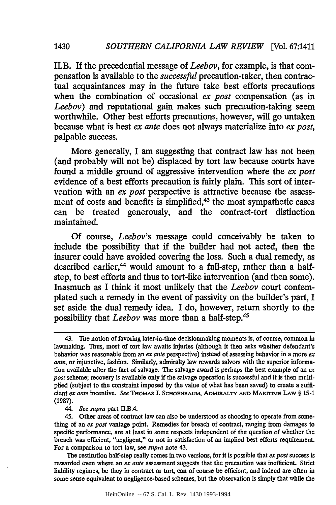II.B. If the precedential message of *Leebov,* for example, is that compensation is available to the *successful* precaution-taker, then contractual acquaintances may in the future take best efforts precautions when the combination of occasional *ex post* compensation (as in *Leebov)* and reputational gain makes such precaution-taking seem worthwhile. Other best efforts precautions, however, will go untaken because what is best *ex ante* does not always materialize into *ex post,* palpable success.

More generally, I am suggesting that contract law has not been (and probably will not be) displaced **by** tort law because courts have found a middle ground of aggressive intervention where the *ex post* evidence of a best efforts precaution is fairly plain. This sort of intervention with an *ex post* perspective is attractive because the assessment of costs and benefits is simplified,<sup>43</sup> the most sympathetic cases can be treated generously, and the contract-tort distinction maintained.

**Of** course, *Leebov's* message could conceivably be taken to include the possibility that if the builder had not acted, then the insurer could have avoided covering the loss. Such a dual remedy, as described earlier,<sup>44</sup> would amount to a full-step, rather than a halfstep, to best efforts and thus to tort-like intervention (and then some). Inasmuch as **I** think it most unlikely that the *Leebov* court contemplated such a remedy in the event of passivity on the builder's part, I set aside the dual remedy idea. I do, however, return shortly to the possibility that *Leebov* was more than a half-step.45

*44. See supra* part *IL.B.4.*

The restitution half-step really comes in two versions, for it is possible that *ex post* success is rewarded even where an *ex ante* assessment suggests that the precaution was inefficient. Strict liability regimes, be they in **contract or tort, can of** course be efficient, and indeed are often in some sense equivalent to negligence-based schemes, but the observation is simply that while the

<sup>43.</sup> The notion of favoring later-in-time decisionmaking moments is, of **course,** common in lawmaking. Thus, most of tort law awaits injuries (although it then asks whether defendant's behavior was reasonable from an *ex ante* perspective) instead of assessing behavior in a more *ex ante,* or injunctive, fashion. Similarly, admiralty law rewards salvors with the superior information available after the fact of salvage. The salvage award is perhaps the best example of an *ex post* scheme; recovery is available only if the salvage operation is successful and it is then multiplied (subject to the constraint imposed **by** the value of what has been saved) to create a suffi**cient** *ex ante* incentive. *See* THOMAS **J. SCHOENBAUM, ADMIRALTY AND MARITIME LAW § 15-1 (1987).**

<sup>45.</sup> Other areas of contract law can also be understood as choosing to operate from something of an *ex post* vantage point. Remedies for breach of contract, ranging from damages to specific performance, are at least in some respects independent of the question of whether the breach was efficient, "negligent," or not in satisfaction of **an** implied best efforts requirement. For a comparison to tort law, see *supra* **note** 43.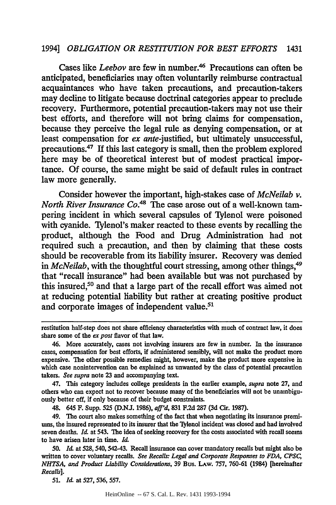Cases like *Leebov* are few in number.<sup>46</sup> Precautions can often be anticipated, beneficiaries may often voluntarily reimburse contractual acquaintances who have taken precautions, and precaution-takers may decline to litigate because doctrinal categories appear to preclude recovery. Furthermore, potential precaution-takers may not use their best efforts, and therefore will not bring claims for compensation, because they perceive the legal rule as denying compensation, or at least compensation for *ex* ante-justified, but ultimately unsuccessful, precautions. 47 If this last category is small, then the problem explored here may be of theoretical interest but of modest practical importance. Of course, the same might be said of default rules in contract law more generally.

Consider however the important, high-stakes case of *McNeilab v. North River Insurance Co.4s* The case arose out of a well-known tampering incident in which several capsules of Tylenol were poisoned with cyanide. Tylenol's maker reacted to these events by recalling the product, although the Food and Drug Administration had not required such a precaution, and then by claiming that these costs should be recoverable from its liability insurer. Recovery was denied in *McNeilab*, with the thoughtful court stressing, among other things,<sup>49</sup> that "recall insurance" had been available but was not purchased by this insured,50 and that a large part of the recall effort was aimed not at reducing potential liability but rather at creating positive product and corporate images of independent value.<sup>51</sup>

47. This category includes college presidents in the earlier example, *supra* note **27,** and others who can expect not to recover because many of the beneficiaries will not be unambiguously better off, if only because of their budget constraints.

48. 645 F. Supp. *525* **(D.NJ.** 1986), *affd,* **831** F.2d 287 **(3d** Cir. **1987).**

*51. Id.* at **527, 536, 557.**

restitution half-step does not share efficiency characteristics with much of contract law, it does share some of the *ex post* flavor of that law.

<sup>46.</sup> More accurately, cases not involving insurers are few in number. In the insurance cases, compensation for best efforts, if administered sensibly, will not make the product more expensive. The other possible remedies might, however, make the product more expensive in which case nonintervention can be explained as unwanted **by** the class of potential precaution takers. *See supra* note **23** and accompanying text.

<sup>49.</sup> The court also makes something of the fact that when negotiating its insurance premiums, the insured represented to its insurer that the "lylenol incident was closed and had involved seven deaths. *Id.* at 543. The idea of seeking recovery for the costs associated with recall seems to have arisen later in time. *Id.*

**<sup>50.</sup>** *Id.* at 528, 540, 542-43. Recall insurance can cover mandatory recalls but might also be written to cover voluntary recalls. *See Recalls: Legal and Corporate Responses to FDA, CPSC, NHTSA, and Product Liability Considerations,* **39** Bus. LAw. 757, 760-61 (1984) [hereinafter *Recalls].*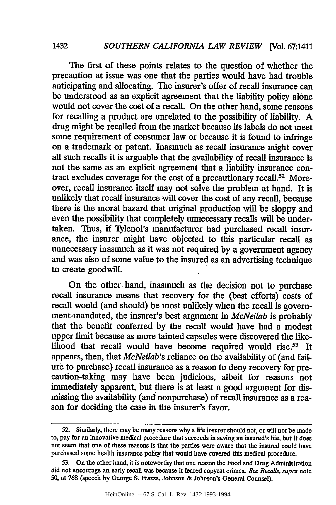The first of these points relates to the question of whether the precaution at issue was one that the parties would have had trouble anticipating and allocating. The insurer's offer of recall insurance can be understood as an explicit agreement that the liability policy alone would not cover the cost of a recall. On the other hand, some reasons for recalling a product are unrelated to the possibility of liability. A drug might be recalled from the market because its labels do not meet some requirement of consumer law or because it is found to infringe on a trademark or patent. Inasmuch as recall insurance might cover all such recalls it is arguable that the availability of recall insurance is not the same as an explicit agreement that a liability insurance contract excludes coverage for the cost of a precautionary recall.52 Moreover, recall insurance itself may not solve the problem at hand. It is unlikely that recall insurance will cover the cost of any recall, because there is the moral hazard that original production will be sloppy and even the possibility that completely unnecessary recalls will be undertaken. Thus, if Tylenol's manufacturer had purchased recall insurance, the insurer might have objected to this particular recall as unnecessary inasmuch as it was not required by a government agency and was also of some value to the insured as an advertising technique to create goodwill.

On the other. hand, inasmuch as the decision not to purchase recall insurance means that recovery for the (best efforts) costs of recall would (and should) be most unlikely when the recall is government-mandated, the insurer's best argument in *McNeilab* is probably that the benefit conferred by the recall would have had a modest upper limit because as more tainted capsules were discovered the likelihood that recall would have become required would rise.<sup>53</sup> It appears, then, that *McNeilab's* reliance on the availability of (and failure to purchase) recall insurance as a reason to deny recovery for precaution-taking may have been judicious, albeit for reasons not immediately apparent, but there is at least a good argument for dismissing the availability (and nonpurchase) of recall insurance as a reason for deciding the case in the insurer's favor.

1432

**<sup>52.</sup>** Similarly, there may be many reasons why a life insurer should not, or will not be made to, pay for an innovative medical procedure that succeeds in saving an insured's life, but it does not seem that one of these reasons is that the parties were aware that the insured could have purchased some health insurance policy that would have covered this medical procedure.

<sup>53.</sup> On the other hand, it is noteworthy that one reason the Food and Drug Administration did not encourage an early recall was because it feared copycat crimes. *See Recalls, supra* note 50, at 768 (speech by George **S.** Frazza, Johnson & Johnson's General Counsel).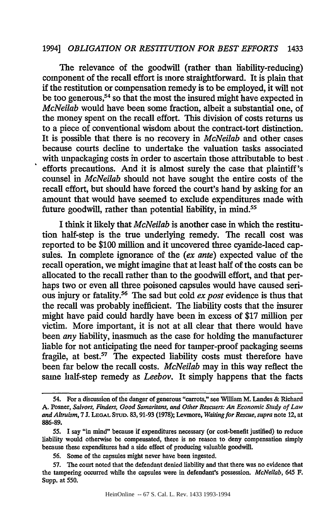The relevance of the goodwill (rather than liability-reducing) component of the recall effort is more straightforward. It is plain that if the restitution or compensation remedy is to be employed, it will not be too generous,<sup>54</sup> so that the most the insured might have expected in *McNeilab* would have been some fraction, albeit a substantial one, of the money spent on the recall effort. This division of costs returns us to a piece of conventional wisdom about the contract-tort distinction. It is possible that there is no recovery in *McNeilab* and other cases because courts decline to undertake the valuation tasks associated with unpackaging costs in order to ascertain those attributable to best. efforts precautions. And it is almost surely the case that plaintiff's counsel in *McNeilab* should not have sought the entire costs of the recall effort, but should have forced the court's hand by asking for an amount that would have seemed to exclude expenditures made with future goodwill, rather than potential liability, in mind.<sup>55</sup>

I think it likely that *McNeilab* is another case in which the restitution half-step is the true underlying remedy. The recall cost was reported to be \$100 million and it uncovered three cyanide-laced capsules. In complete ignorance of the *(ex ante)* expected value of the recall operation, we might imagine that at least half of the costs can be allocated to the recall rather than to the goodwill effort, and that perhaps two or even all three poisoned capsules would have caused serious injury or fatality. 6 The sad but cold *ex post* evidence is thus that the recall was probably inefficient. The liability costs that the insurer might have paid could hardly have been in excess of \$17 million per victim. More important, it is not at all clear that there would have been *any* liability, inasmuch as the case for holding the manufacturer liable for not anticipating the need for tamper-proof packaging seems fragile, at best. $57$  The expected liability costs must therefore have been far below the recall costs. *McNeilab* may in this way reflect the same half-step remedy as *Leebov.* It simply happens that the facts

*<sup>54.</sup>* For a discussion of the danger of generous "carrots," see William M. Landes & Richard **A.** Posner, *Salvors, Finders, Good Samaritans, and Other Rescuers: An Economic Study of Law and Altruism, 7.* **LEGAL STuD. 83,91-93 (1978);** Levmore, *Waiting for Rescue, supra* note 12, at **886-89.**

**<sup>55.</sup>** I say "in mind" because if expenditures necessary (or cost-benefit justified) to reduce liability would otherwise be compensated, there is no reason to deny compensation simply because these expenditures had a side effect of producing valuable goodwill.

**<sup>56.</sup>** Some of the capsules might never have been ingested.

**<sup>57.</sup>** The court noted that the defendant denied liability and that there was no evidence that the tampering occurred while the capsules were in defendant's possession. *McNeilab,* 645 F. Supp. at **550.**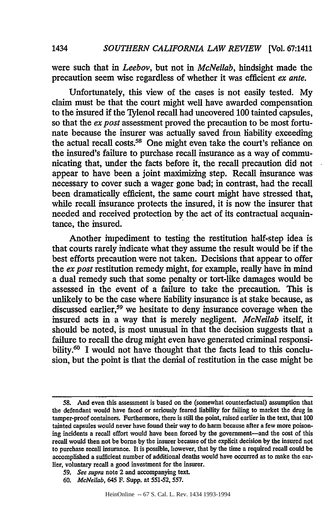were such that in *Leebov,* but not in *McNeilab,* hindsight made the precaution seem wise regardless of whether it was efficient *ex ante.*

Unfortunately, this view of the cases is not easily tested. My claim must be that the court might well have awarded compensation to the insured if the Tylenol recall had uncovered 100 tainted capsules, so that the *ex post* assessment proved the precaution to be most fortunate because the insurer was actually saved from liability exceeding the actual recall costs.<sup>58</sup> One might even take the court's reliance on the insured's failure to purchase recall insurance as a way of communicating that, under the facts before it, the recall precaution did not appear to have been a joint maximizing step. Recall insurance was necessary to cover such a wager gone bad; in contrast, had the recall been dramatically efficient, the same court might have stressed that, while recall insurance protects the insured, it is now the insurer that needed and received protection by the act of its contractual acquaintance, the insured.

Another impediment to testing the restitution half-step idea is that courts rarely indicate what they assume the result would be if the best efforts precaution were not taken. Decisions that appear to offer the *ex post* restitution remedy might, for example, really have in mind a dual remedy such that some penalty or tort-like damages would be assessed in the event of a failure to take the precaution. This is unlikely to be the case where liability insurance is at stake because, as discussed earlier,<sup>59</sup> we hesitate to deny insurance coverage when the insured acts in a way that is merely negligent. *McNeilab* itself, it should be noted, is most unusual in that the decision suggests that a failure to recall the drug might even have generated criminal responsibility.<sup>60</sup> I would not have thought that the facts lead to this conclusion, but the point is that the denial of restitution in the case might be

**<sup>58.</sup>** And even this assessment is based on the (somewhat counterfactual) assumption that the defendant would have faced or seriously feared liability for failing to market the drug in tamper-proof containers. Furthermore, there is still the point, raised earlier in the text, that 100 tainted capsules would never have found their way to do harm because after a few more poisoning incidents a recall effort would have been forced by the government-and the cost of this recall would then not be borne by the insurer because of the explicit decision by the insured not to purchase recall insurance. It is possible, however, that **by** the time a required recall could be accomplished a sufficient number of additional deaths would have occurred as to make the earlier, voluntary recall a good investment for the insurer.

*<sup>59.</sup> See supra* note 2 and accompanying text.

**<sup>60.</sup>** *McNeilab,* 645 F. Supp. at 551-52, 557.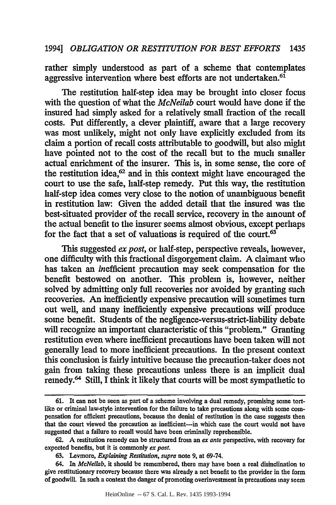rather simply understood as part of a scheme that contemplates aggressive intervention where best efforts are not undertaken.<sup>61</sup>

The restitution half-step idea may be brought into closer focus with the question of what the *McNeilab* court would have done if the insured had simply asked for a relatively small fraction of the recall costs. Put differently, a clever plaintiff, aware that a large recovery was most unlikely, might not only have explicitly excluded from its claim a portion of recall costs attributable to goodwill, but also might have pointed not to the cost of the recall but to the much smaller actual enrichment of the insurer. This is, in some sense, the core of the restitution idea, $62$  and in this context might have encouraged the court to use the safe, half-step remedy. Put this way, the restitution half-step idea comes very close to the notion of unambiguous benefit in restitution law: Given the added detail that the insured was the best-situated provider of the recall service, recovery in the amount of the actual benefit to the insurer seems almost obvious, except perhaps for the fact that a set of valuations is required of the court.<sup>63</sup>

This suggested *ex post,* or half-step, perspective reveals, however, one difficulty with this fractional disgorgement claim. **A** claimant who has taken an inefficient precaution may seek compensation for the benefit bestowed on another. This problem is, however, neither solved by admitting only full recoveries nor avoided by granting such recoveries. An inefficiently expensive precaution will sometimes turn out well, and many inefficiently expensive precautions will produce some benefit. Students of the negligence-versus-strict-liability debate will recognize an important characteristic of this "problem." Granting restitution even where inefficient precautions have been taken will not generally lead to more inefficient precautions. In the present context this conclusion is fairly intuitive because the precaution-taker does not gain from taking these precautions unless there is an implicit dual remedy.64 Still, I think it likely that courts will be most sympathetic to

<sup>61.</sup> It can not be seen as part **of** a scheme involving a dual remedy, promising some tortlike or criminal law-style intervention for the failure to take precautions along with some compensation for efficient precautions, because the denial of restitution in the case suggests then that the court viewed the precaution as inefficient-in which case the court would not have suggested that a failure to recall would have been criminally reprehensible.

<sup>62.</sup> **A** restitution remedy can be structured from an **ex** *ante* perspective, with recovery for expected benefits, but it is commonly **ex** *post.*

<sup>63.</sup> Levmore, *Explaining Restitution, supra* note 9, at 69-74.

<sup>64.</sup> **In** *McNeilab,* it should be remembered, there may have been a real disinclination to give restitutionary recovery because there was already a net benefit to the provider in the form of goodwill. In such a context the danger of promoting overinvestment in precautions may seem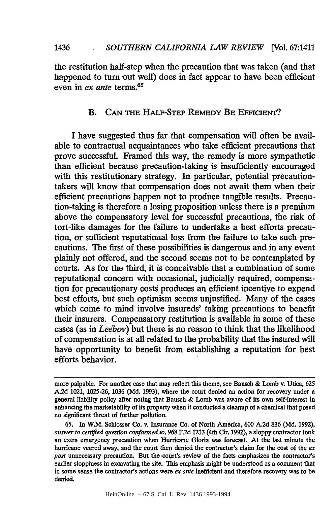the restitution half-step when the precaution that was taken (and that happened to turn out well) does in fact appear to have been efficient even in *ex ante* terms.65

# **B.** CAN THE HALF-STEP REMEDY BE EFFICIENT?

I have suggested thus far that compensation will often be available to contractual acquaintances who take efficient precautions that prove successful. Framed this way, the remedy is more sympathetic than efficient because precaution-taking is insufficiently encouraged with this restitutionary strategy. In particular, potential precautiontakers will know that compensation does not await them when their efficient precautions happen not to produce tangible results. Precaution-taking is therefore a losing proposition unless there is a premium above the compensatory level for successful precautions, the risk of tort-like damages for the failure to undertake a best efforts precaution, or sufficient reputational loss from the failure to take such precautions. The first of these possibilities is dangerous and in any event plainly not offered, and the second seems not to be contemplated by courts. As for the third, it is conceivable that a combination of some reputational concern with occasional, judicially required, compensation for precautionary costs produces an efficient incentive to expend best efforts, but such optimism seems unjustified. Many of the cases which come to mind involve insureds' taking precautions to benefit their insurers. Compensatory restitution is available in some of these cases (as in *Leebov)* but there is no reason to think that the likelihood of compensation is at all related to the probability that the insured will have opportunity to benefit from establishing a reputation for best efforts behavior.

HeinOnline -- 67 S. Cal. L. Rev. 1436 1993-1994

more palpable. For another case that may reflect this theme, see Bausch & Lomb v. Utica, **625** A.2d 1021, 1025-26, 1036 (Md. 1993), where the court denied an action for recovery under a general liability policy after noting that Bausch & Lomb was aware of its own self-interest in enhancing the marketability of its property when it conducted a cleanup of a chemical that posed no significant threat of further pollution.

<sup>65.</sup> In W.M. Schlosser Co. v. Insurance Co. of North America, 600 A.2d **836** (Md. 1992), *answer to certified question conformed to,* 968 **F.2d** 1213 (4th Cir. 1992), a sloppy contractor took an extra emergency precaution when Hurricane Gloria was forecast. At the last minute the hurricane veered away, and the court then denied the contractor's claim for the cost of the *ex post* unnecessary precaution. But the .court's review of the facts emphasizes the contractor's earlier sloppiness in excavating the site. This emphasis might be understood as a comment that in some sense the contractor's actions were *ex ante* inefficient and therefore recovery was to be denied.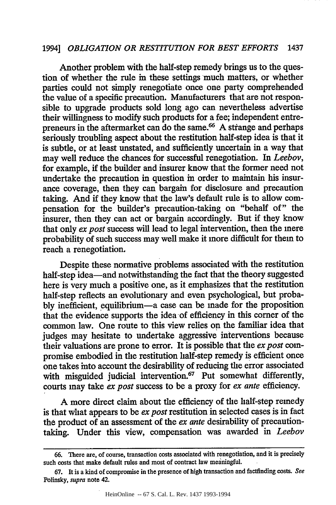Another problem with the half-step remedy brings us to the question of whether the rule in these settings much matters, or whether parties could not simply renegotiate once one party comprehended the value of a specific precaution. Manufacturers that are not responsible to upgrade products sold long ago can nevertheless advertise their willingness to modify such products for a fee; independent entrepreneurs in the aftermarket can do the same.<sup>66</sup> A strange and perhaps seriously troubling aspect about the restitution half-step idea is that it is subtle, or at least unstated, and sufficiently uncertain in a way that may well reduce the chances for successful renegotiation. In *Leebov,* for example, if the builder and insurer know that the former need not undertake the precaution in question in order to maintain his insurance coverage, then they can bargain for disclosure and precaution taking. And if they know that the law's default rule is to allow compensation for the builder's precaution-taking on "behalf of" the insurer, then they can act or bargain accordingly. But if they know that only *ex post* success will lead to legal intervention, then the mere probability of such success may well make it more difficult for them to reach a renegotiation.

Despite these normative problems associated with the restitution half-step idea-and notwithstanding the fact that the theory suggested here is very much a positive one, as it emphasizes that the restitution half-step reflects an evolutionary and even psychological, but probably inefficient, equilibrium-a case can be made for the proposition that the evidence supports the idea of efficiency in this corner of the common law. One route to this view relies on the familiar idea that judges may hesitate to undertake aggressive interventions because their valuations are prone to error. It is possible that the *ex post* compromise embodied in the restitution half-step remedy is efficient once one takes into account the desirability of reducing the error associated with misguided judicial intervention.<sup>67</sup> Put somewhat differently, courts may take *ex post* success to be a proxy for *ex ante* efficiency.

A more direct claim about the efficiency of the half-step remedy is that what appears to be *ex post* restitution in selected cases is in fact the product of an assessment of the *ex ante* desirability of precautiontaking. Under this view, compensation was awarded in *Leebov*

**<sup>66.</sup>** There are, of course, transaction costs associated with renegotiation, and it is precisely such costs that make default rules and most of contract law meaningful.

<sup>67.</sup> It is a kind of compromise in the presence of high transaction and factfinding costs. *See* Polinsky, *supra* note 42.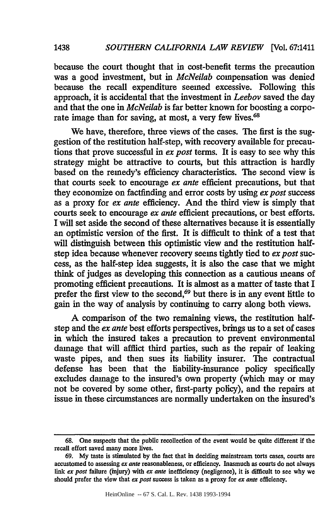because the court thought that in cost-benefit terms the precaution was a good investment, but in *McNeilab* compensation was denied because the recall expenditure seemed excessive. Following this approach, it is accidental that the investment in *Leebov* saved the day and that the one in *McNeilab* is far better known for boosting a corporate image than for saving, at most, a very few lives.<sup>68</sup>

We have, therefore, three views of the cases. The first is the suggestion of the restitution half-step, with recovery available for precautions that prove successful in *ex post* terms. It is easy to see why this strategy might be attractive to courts, but this attraction is hardly based on the remedy's efficiency characteristics. The second view is that courts seek to encourage *ex ante* efficient precautions, but that they economize on factfinding and error costs by using *ex post* success as a proxy for *ex ante* efficiency. And the third view is simply that courts seek to encourage *ex ante* efficient precautions, or best efforts. I will set aside the second of these alternatives because it is essentially an optimistic version of the first. It is difficult to think of a test that will distinguish between this optimistic view and the restitution halfstep idea because whenever recovery seems tightly tied to *ex post* success, as the half-step idea suggests, it is also the case that we might think of judges as developing this connection as a cautious means of promoting efficient precautions. It is almost as a matter of taste that I prefer the first view to the second,<sup>69</sup> but there is in any event little to gain in the way of analysis by continuing to carry along both views.

A comparison of the two remaining views, the restitution halfstep and the *ex ante* best efforts perspectives, brings us to a set of cases in which the insured takes a precaution to prevent environmental damage that will afflict third parties, such as the repair of leaking waste pipes, and then sues its liability insurer. The contractual defense has been that the liability-insurance policy specifically excludes damage to the insured's own property (which may or may not be covered by some other, first-party policy), and the repairs at issue in these circumstances are normally undertaken on the insured's

1438

<sup>68.</sup> One suspects that the public recollection of the event would be quite different if the recall effort saved many more lives.

<sup>69.</sup> My taste is stimulated by the fact that in deciding mainstream torts cases, courts are accustomed to assessing *ex ante* reasonableness, or efficiency. Inasmuch as courts do not always link *ex post* failure (injury) with *ex ante* inefficiency (negligence), it is difficult to see why we should prefer the view that *ex post* success is taken as a proxy for *ex ante* efficiency.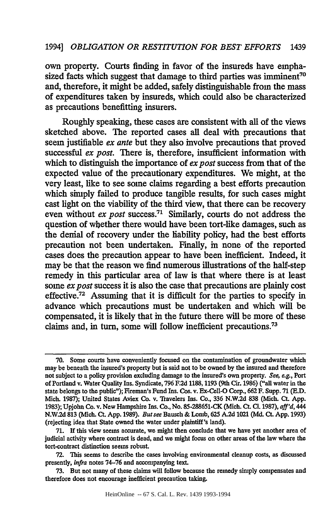own property. Courts finding in favor of the insureds have emphasized facts which suggest that damage to third parties was imminent<sup>70</sup> and, therefore, it might be added, safely distinguishable from the mass of expenditures taken by insureds, which could also be characterized as precautions benefitting insurers.

Roughly speaking, these cases are consistent with all of the views sketched above. The reported cases all deal with precautions that seem justifiable *ex ante* but they also involve precautions that proved successful *ex post*. There is, therefore, insufficient information with which to distinguish the importance of *ex post* success from that of the expected value of the precautionary expenditures. We might, at the very least, like to see some claims regarding a best efforts precaution which simply failed to produce tangible results, for such cases might cast light on the viability of the third view, that there can be recovery even without *ex post* success.<sup>71</sup> Similarly, courts do not address the question of whether there would have been tort-like damages, such as the denial of recovery under the liability policy, had the best efforts precaution not been undertaken. Finally, in none of the reported cases does the precaution appear to have been inefficient. Indeed, it may be that the reason we find numerous illustrations of the half-step remedy in this particular area of law is that where there is at least some *ex post* success it is also the case that precautions are plainly cost effective.72 Assuming that it is difficult for the parties to specify in advance which precautions must be undertaken and which will be compensated, it is likely that in the future there will be more of these claims and, in turn, some will follow inefficient precautions. <sup>73</sup>

**<sup>70.</sup>** Some courts have conveniently focused on the contamination of groundwater which may be beneath the insured's property but is said not to be owned **by** the insured and therefore not subject to a policy provision excluding damage to the insured's own property. *See,* e.g., Port of Portland v. Water Quality Ins. Syndicate, **796 F.2d** 1188,1193 (9th Cir. **1986)** ("all water in the state belongs to the public"); Fireman's Fund Ins. Cos. v. Ex-Cell-O Corp., **662** F. Supp. **71 (E.D.** Mich. **1987);** United States Aviex Co. v. Travelers Ins. Co., 336 **N.W.2d 838** (Mich. Ct. **App. 1983);** Upjohn Co. v. New Hampshire Ins. Co., No. **85-288651-CK** (Mich. Ct. **CL.** 1987), *aff'd,* 444 **N.W.2d 813** (Mich. **CL App. 1989).** *But see* Bausch **&** Lomb, **625 A.2d** 1021 **(Md.** Ct. **App. 1993)** (rejecting idea that State owned the water under plaintiff's land).

**<sup>71.</sup>** If this view seems accurate, we might then conclude that we have yet another area of judicial activity where contract is dead, and we might focus on other areas of the law where the tort-contract distinction seems robust.

<sup>72.</sup> This seems to describe the cases involving environmental cleanup costs, as discussed presently, *infra* notes 74-76 and accompanying text.

<sup>73.</sup> But not many of these claims will follow because the remedy simply compensates and therefore does not encourage inefficient precaution taking.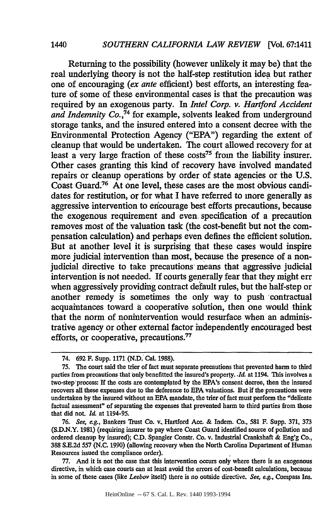Returning to the possibility (however unlikely it may be) that the real underlying theory is not the half-step restitution idea but rather one of encouraging *(ex ante* efficient) best efforts, an interesting feature of some of these environmental cases is that the precaution was required by an exogenous party. In *Intel Corp. v. Hartford Accident* and Indemnity Co.<sup>74</sup> for example, solvents leaked from underground storage tanks, and the insured entered into a consent decree with the Environmental Protection Agency ("EPA") regarding the extent of cleanup that would be undertaken. The court allowed recovery for at least a very large fraction of these costs<sup>75</sup> from the liability insurer. Other cases granting this kind of recovery have involved mandated repairs or cleanup operations by order of state agencies or the U.S. Coast Guard.76 At one level, these cases are the most obvious candidates for restitution, or for what I have referred to more generally as aggressive intervention to encourage best efforts precautions, because the exogenous requirement and even. specification of a precaution removes most of the valuation task (the cost-benefit but not the compensation calculation) and perhaps even defines the efficient solution. But at another level it is surprising that these cases would inspire more judicial intervention than most, because the presence of a nonjudicial directive to take precautions' means that aggressive judicial intervention is not needed. If courts generally fear that they might err when aggressively providing contract default rules, but the half-step or another remedy is sometimes the only way to push contractual acquaintances toward a cooperative solution, then one would think that the norm of nonintervention would resurface when an administrative agency or other external factor independently encouraged best efforts, or cooperative, precautions."

77. And it is not the case that this intervention occurs only where there is an exogenous directive, in which case courts can at least avoid the errors of cost-benefit calculations, because in some of these cases (like *Leebov* itself) there is no outside directive. *See, e.g.,* Compass Ins.

1440

<sup>74.</sup> **692** F. Supp. 1171 (N.D. Cal. 1988).

<sup>75.</sup> The court said the trier of fact must separate precautions that prevented harm to third parties from precautions that only benefitted the insured's property. *Id.* at 1194. This involves a two-step'process: If the costs are contemplated by the EPA's consent decree, then the insured recovers all these expenses due to the deference to **EPA** valuations. But if the precautions were undertaken by the insured without an **EPA** mandate, the trier of fact must perform the "delicate factual assessment" of separating the expenses that prevented harm to third parties from those that did not.  $Id.$  at 1194-95.

<sup>76.</sup> *See, eg.,* Bankers Trust Co. v, Hartford Acc. & Indem. Co., 581 F. Supp. 371, 373 (S.D.N.Y. 1981) (requiring insurer to pay where Coast Guard identified source of pollution and ordered cleanup by insured); C.D. Spangler Constr. Co. v. Industrial Crankshaft & Eng'g Co., 388 **S.E.2d 557 (N.C.** 1990) (allowing recovery when the North Carolina Department of Human Resources issued the compliance order).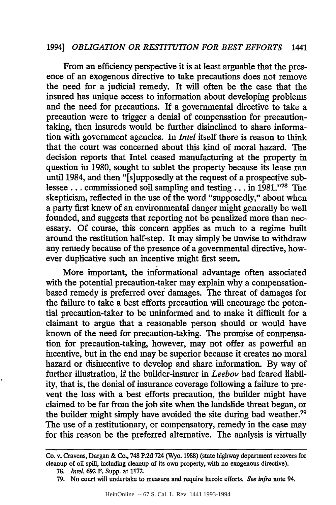From an efficiency perspective it is at least arguable that the presence of an exogenous directive to take precautions does not remove the need for a judicial remedy. It will often be the case that the insured has unique access to information about developing problems and the need for precautions. If a governmental directive to take a precaution were to trigger a denial of compensation for precautiontaking, then insureds would be further disinclined to share information with government agencies. In *Intel* itself there is reason to think that the court was concerned about this kind of moral hazard. The decision reports that Intel ceased manufacturing at the property in question in 1980, sought to sublet the property because its lease ran until 1984, and then "[s]upposedly at the request of a prospective sublessee.., commissioned soil sampling and testing.., in **1981. '' <sup>78</sup>**The skepticism, reflected in the use of the word "supposedly," about when a party first knew of an environmental danger might generally be well founded, and suggests that reporting not be penalized more than necessary. Of course, this concern applies as much to a regime built around the restitution half-step. It may simply be unwise to withdraw any remedy because of the presence of a governmental directive, however duplicative such an incentive might first seem.

More important, the informational advantage often associated with the potential precaution-taker may explain why a compensationbased remedy is preferred over damages. The threat of damages for the failure to take a best efforts precaution will encourage the potential precaution-taker to be uninformed and to make it difficult for a claimant to argue that a reasonable person should or would have known of the need for precaution-taking. The promise of compensation for precaution-taking, however, may not offer as powerful an incentive, but in the end may be superior because it creates no moral hazard or disincentive to develop and share information. By way of further illustration, if the builder-insurer in *Leebov* had feared liability, that is, the denial of insurance coverage following a failure to prevent the loss with a best efforts precaution, the builder might have claimed to be far from the job site when the landslide threat began, or the builder might simply have avoided the site during bad weather.79 The use of a restitutionary, or compensatory, remedy in the case may for this reason be the preferred alternative. The analysis is virtually

Co. v. Cravens, Dargan & Co., 748 P.2d 724 (Wyo. 1988) (state highway department recovers for cleanup of oil spill, including cleanup of its own property, with no exogenous directive).

**<sup>78.</sup>** *Intel,* **692** F. Supp. at **1172.**

**<sup>79.</sup>** No court will undertake to measure and require heroic efforts. *See infra* note 94.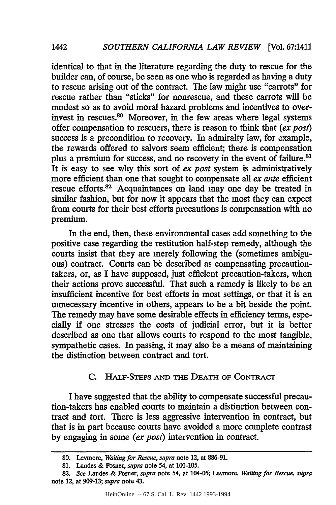identical to that in the literature regarding the duty to rescue for the builder can, of course, be seen as one who is regarded as having a duty to rescue arising out of the contract. The law might use "carrots" for rescue rather than "sticks" for nonrescue, and these carrots will be modest so as to avoid moral hazard problems and incentives to overinvest in rescues. 80 Moreover, in the few areas where legal systems offer compensation to rescuers, there is reason to think that *(ex post)* success is a precondition to recovery. In admiralty law, for example, the rewards offered to salvors seem efficient; there is compensation plus a premium for success, and no recovery in the event of failure.<sup>81</sup> It is easy to see why this sort of *ex post* system is administratively more efficient than one that sought to compensate all *ex ante* efficient rescue efforts.<sup>82</sup> Acquaintances on land may one day be treated in similar fashion, but for now it appears that the most they can expect from courts for their best efforts precautions is compensation with no premium.

In the end, then, these environmental cases add something to the positive case regarding the restitution half-step remedy, although the courts insist that they are merely following the (sometimes ambiguous) contract. Courts can be described as compensating precautiontakers, or, as I have supposed, just efficient precaution-takers, when their actions prove successful. That such a remedy is likely to be an insufficient incentive for best efforts in most settings, or that it is an unnecessary incentive in others, appears to be a bit beside the point. The remedy may have some desirable effects in efficiency terms, especially if one stresses the costs of judicial error, but it is better described as one that allows courts to respond to the most tangible, sympathetic cases. In passing, it may also be a means of maintaining the distinction between contract and tort.

# C. HALF-STEPS AND THE DEATH OF CONTRACT

I have suggested that the ability to compensate successful precaution-takers has enabled courts to maintain a distinction between contract and tort. There is less aggressive intervention in contract, but that is in part because courts have avoided a more complete contrast by engaging in some *(ex post)* intervention in contract.

**<sup>80.</sup>** Leymore, *Waiting for Rescue, supra* note 12, at 886-91.

**<sup>81.</sup>** Landes & Posner, *supra* note 54, at 100-105.

<sup>82.</sup> *See* Landes & Posner, *supra* note 54, at 104-05; Levmore, *Waiting for Rescue, supra* note 12, at 909-13; *supra* note 43.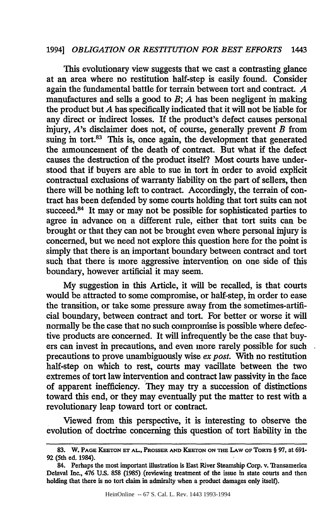This evolutionary view suggests that we cast a contrasting glance at an area where no restitution half-step is easily found. Consider again the fundamental battle for terrain between tort and contract. *A* manufactures and sells a good to *B*; *A* has been negligent in making the product but *A* has specifically indicated that it will not be liable for any direct or indirect losses. If the product's defect causes personal injury, *A's* disclaimer does not, of course, generally prevent *B* from suing in tort.<sup>83</sup> This is, once again, the development that generated the announcement of the death of contract. But what if the defect causes the destruction of the product itself? Most courts have understood that if buyers are able to sue in tort in order to avoid explicit contractual exclusions of warranty liability on the part of sellers, then there will be nothing left to contract. Accordingly, the terrain of contract has been defended by some courts holding that tort suits can not succeed.<sup>84</sup> It may or may not be possible for sophisticated parties to agree in advance on a different rule, either that tort suits can be brought or that they can not be brought even where personal injury is concerned, but we need not explore this question here for the point is simply that there is an important boundary between contract and tort such that there is more aggressive intervention on one side of this boundary, however artificial it may seem.

My suggestion in this Article, it will be recalled, is that courts would be attracted to some compromise, or half-step, in order to ease the transition, or take some pressure away from the sometimes-artificial boundary, between contract and tort. For better or worse it will normally be the case that no such compromise is possible where defective products are concerned. It will infrequently be the case that buyers can invest in precautions, and even more rarely possible for such precautions to prove unambiguously wise *ex post.* With no restitution half-step on which to rest, courts may vacillate between the two extremes of tort law intervention and contract law passivity in the face of apparent inefficiency. They may try a succession of distinctions toward this end, or they may eventually put the matter to rest with a revolutionary leap toward tort or contract.

Viewed from this perspective, it is interesting to observe the evolution of doctrine concerning this question of tort liability in the

**<sup>83.</sup>** W. **PAGE KEETON ET AL.,** PROSSER **AND KEEroN** ON **THE** LAW **OF TORTS** § **97,** at **691-** 92 (5th ed. 1984).

<sup>84.</sup> Perhaps the most important illustration is East River Steamship Corp. v. Transamerica Delaval Inc., 476 **U.S.** 858 (1985) (reviewing treatment of the issue in state courts and then holding that there is no tort claim in admiralty when a product damages only itself).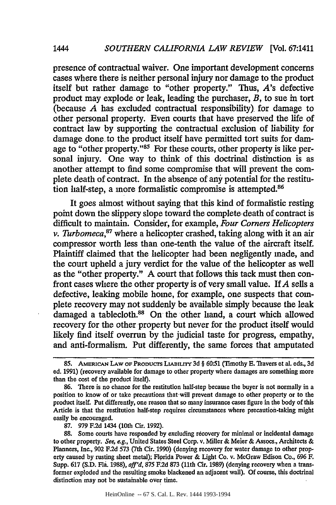presence of contractual waiver. One important development concerns cases where there is neither personal injury nor damage to the product itself but rather damage to "other property." Thus, *A's* defective product may explode or leak, leading the purchaser, *B,* to sue in tort (because *A* has excluded contractual responsibility) for damage to other personal property. Even courts that have preserved the life of contract law by supporting the contractual exclusion of liability for damage done, to the product itself have permitted tort suits for damage to "other property."<sup>85</sup> For these courts, other property is like personal injury. One way to think of this doctrinal distinction is as another attempt to find some compromise that will prevent the complete death of contract. In the absence of any potential for the restitution half-step, a more formalistic compromise is attempted.<sup>86</sup>

It goes almost without saying that this kind of formalistic resting point down the slippery slope toward the complete death of contract is difficult to maintain. Consider, for example, *Four Comers Helicopters v. Turbomeca*,<sup>87</sup> where a helicopter crashed, taking along with it an air compressor worth less than one-tenth the value of the aircraft itself. Plaintiff claimed that the helicopter had been negligently made, and the court upheld a jury verdict for the value of the helicopter as well as the "other property." A court that follows this tack must then confront cases where the other property is of very small value. If *A* sells a defective, leaking mobile home, for example, one suspects that complete recovery may not suddenly be available simply because the leak damaged a tablecloth.<sup>88</sup> On the other hand, a court which allowed recovery for the other property but never for the product itself would likely find itself overrun by the judicial taste for progress, empathy, and anti-formalism. Put differently, the same forces that amputated

87. 979 F.2d 1434 (10th Cir. 1992).

*1444*

HeinOnline -- 67 S. Cal. L. Rev. 1444 1993-1994

**<sup>85.</sup>** AMERmcAN **LAW OF PRODUCS LiABILrry 3d** § **60"51** (Timothy **E.** 11avers et al. eds., **3d** ed. 1991) (recovery available for damage to other property where damages are something more than the cost of the product itself).

<sup>86.</sup> There is no chance for the restitution half-step because the buyer is not normally in a position to know of or take precautions that-will prevent damage to other property or to the product itself. Put differently, one reason that so many insurance cases figure in the body of this Article is that the restitution half-step requires circumstances where precaution-taking might easily be encouraged.

**<sup>88.</sup>** Some courts have responded by excluding recovery for minimal or incidental damage to other property. *See, e.g.,* United States Steel Corp. v. Miller & Meier & Assocs., Architects & Planners, Inc., 902 F.2d 573 (7th Cir. 1990) (denying recovery for water damage to other property caused by rusting sheet metal); Florida Power & Light Co. v. McGraw Edison Co., 696 F. Supp. 617 (S.D. Fla. 1988), *aff'd,* 875 F.2d **873** (11th Cir. 1989) (denying recovery when a transformer exploded and the resulting smoke blackened an adjacent wall). Of course, this doctrinal distinction may not be sustainable over time.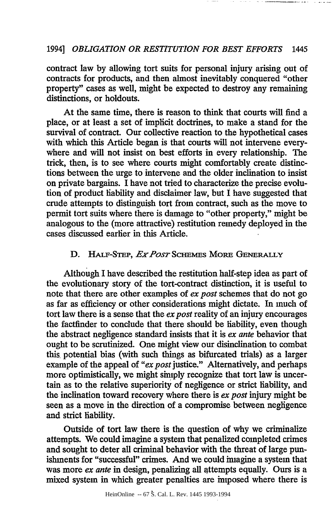contract law by allowing tort suits for personal injury arising out of contracts for products, and then almost inevitably conquered "other property" cases as well, might be expected to destroy any remaining distinctions, or holdouts.

At the same time, there is reason to think that courts will find a place, or at least a set of implicit doctrines, to make a stand for the survival of contract. Our collective reaction to the hypothetical cases with which this Article began is that courts will not intervene everywhere and will not insist on best efforts in every relationship. The trick, then, is to see where courts might comfortably create distinctions between the urge to intervene and the older inclination to insist on private bargains. I have not tried to characterize the precise evolution of product liability and disclaimer law, but I have suggested that crude attempts to distinguish tort from contract, such as the move to permit tort suits where there is damage to "other property," might be analogous to the (more attractive) restitution remedy deployed in the cases discussed earlier in this Article.

#### **D.** HALF-STEP, *Ex Post* SCHEMES MORE GENERALLY

Although I have described the restitution half-step idea as part of the evolutionary story of the tort-contract distinction, it is useful to note that there are other examples of *ex* post schemes that do not go as far as efficiency or other considerations might dictate. In much of tort law there is a sense that the *ex post* reality of an injury encourages the factfinder to conclude that there should be liability, even though the abstract negligence standard insists that it is *ex ante* behavior that ought to be scrutinized. One might view our disinclination to combat this, potential bias (with such things as bifurcated trials) as a larger example of the appeal of *"ex post* justice." Alternatively, and perhaps more optimistically, we might simply recognize that tort law is uncertain as to the relative superiority of negligence or strict liability, and the inclination toward recovery where there is *ex post* injury might be seen as a move in the direction of a compromise between negligence and strict hability.

Outside of tort law there is the question of why we criminalize attempts. We could imagine a system that penalized completed crimes and sought to deter all criminal behavior with the threat of large punishments for "successful" crimes. And we could imagine a system that was more *ex ante* in design, penalizing all attempts equally. Ours is a mixed system in which greater penalties are imposed where there is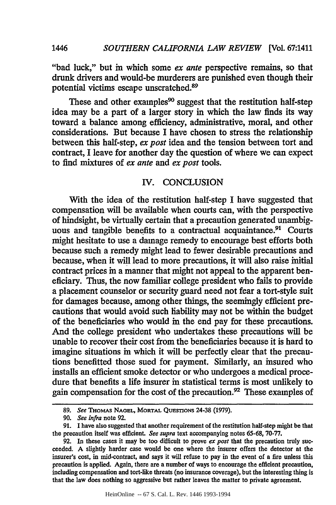"bad luck," but in which some *ex ante* perspective remains, so that drunk drivers and would-be murderers are punished even though their potential victims escape unscratched.<sup>89</sup>

These and other examples<sup>90</sup> suggest that the restitution half-step idea may be a part of a larger story in which the law finds its way toward a balance among efficiency, administrative, moral, and other considerations. But because I have chosen to stress the relationship between this half-step, *ex post* idea and the tension between tort and contract, I leave for another day the question of where we can expect to find mixtures of *ex ante and ex post* tools.

## IV. CONCLUSION

With the idea of the restitution half-step I have suggested that compensation will be available when courts can, with the perspective of hindsight, be virtually certain that a precaution generated unambiguous and tangible benefits to a contractual acquaintance.<sup>91</sup> Courts might hesitate to use a damage remedy to encourage best efforts both because such a remedy might lead to fewer desirable precautions and because, when it will lead to more precautions, it will also raise initial contract prices in a manner that might not appeal to the apparent beneficiary. Thus, the now familiar college president who fails to provide a placement counselor or security guard need not fear a tort-style suit for damages because, among other things, the seemingly efficient precautions that would avoid such liability may not be within the budget of the beneficiaries who would in the end pay for these precautions. And the college president who undertakes these precautions will be unable to recover their cost from the beneficiaries because it is hard to imagine situations in which it will be perfectly clear that the precautions benefitted those sued for payment. Similarly, an insured who installs an efficient smoke detector or who undergoes a medical procedure that benefits a life insurer in statistical terms is most unlikely to gain compensation for the cost of the precaution. 92 These examples of

*1446*

**<sup>89.</sup>** *See THOMAS* NAGEL, MORTAL **QUESTONs** 24-38 **(1979).**

*<sup>90.</sup> See infra* note 92.

<sup>91.</sup> I have also suggested that another requirement of the restitution half-step might be that the precaution itself was efficient. *See supra* text accompanying notes 65-68, 70-77.

<sup>92.</sup> In these cases it may be too difficult to prove *ex post* that the precaution truly succeeded. **A** slightly harder case would be one where the insurer offers the detector at the insurer's cost, in mid-contract, and says it will refuse to pay in the event of a fire unless this precaution is applied. Again, there are a number of ways to encourage the efficient precaution, including compensation and tort-like threats (no insurance coverage), but the interesting thing is that the law does nothing so aggressive but rather leaves the matter to private agreement.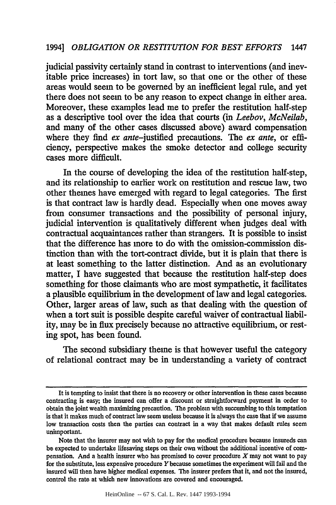judicial passivity certainly stand in contrast to interventions (and inevitable price increases) in tort law, so that one or the other of these areas would seem to be governed **by** an inefficient legal rule, and yet there does not seem to be any reason to expect change in either area. Moreover, these examples lead me to prefer the restitution half-step as a descriptive tool over the idea that courts (in *Leebov, McNeilab,* and many of the other cases discussed above) award compensation where they find *ex* ante-justified precautions. The *ex ante,* or efficiency, perspective makes the smoke detector and college security cases more difficult.

In the course of developing the idea of the restitution half-step, and its relationship to earlier work on restitution and rescue law, two other themes have emerged with regard to legal categories. The first is that contract law is hardly dead. Especially when one moves away from consumer transactions and the possibility of personal injury, judicial intervention is qualitatively different when judges deal with contractual acquaintances rather than strangers. It is possible to insist that the difference has more to do with the omission-commission distinction than with the tort-contract divide, but it is plain that there is at least something to the latter distinction. And as an evolutionary matter, I have suggested that because the restitution half-step does something for those claimants who are most sympathetic, it facilitates a plausible equilibrium in the development of law and legal categories. Other, larger areas of law, such as that dealing with the question of when a tort suit is possible despite careful waiver of contractual liability, may be in flux precisely because no attractive equilibrium, or resting spot, has been found.

The second subsidiary theme is that however useful the category of relational contract may be in understanding a variety of contract

It is tempting to insist that there is no recovery or other intervention in these cases because contracting is easy; the insured can offer a discount or straightforward payment in order to obtain the joint wealth maximizing precaution. The problem with succumbing to this temptation is that it makes much of contract law seem useless because it is always the case that if we assume low transaction costs then the parties can contract in a way that makes default rules seem unimportant.

Note that the insurer may not wish to pay for the medical procedure because insureds can be expected to undertake lifesaving steps on their own without the additional incentive of compensation. And a health insurer who has promised to cover procedure  $X$  may not want to pay for the substitute, less expensive procedure *Y* because sometimes the experiment will fail and the insured will then have higher medical expenses. The insurer prefers that it, and not the insured, control the rate at which new innovations are covered and encouraged.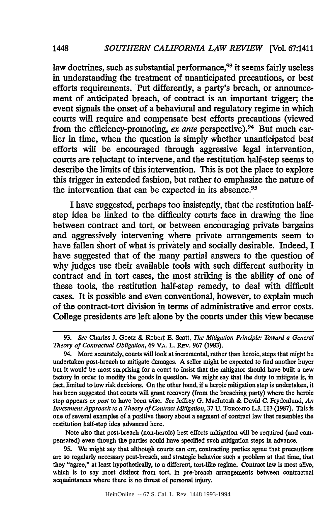law doctrines, such as substantial performance, $93$  it seems fairly useless in understanding the treatment of unanticipated precautions, or best efforts requirements. Put differently, a party's breach, or announcement of anticipated breach, of contract is an important trigger; the event signals the onset of a behavioral and regulatory regime in which courts will require and compensate best efforts precautions (viewed from the efficiency-promoting, *ex ante* perspective).<sup>94</sup> But much earlier in time, when the question is simply whether unanticipated best efforts will be encouraged through aggressive legal intervention, courts are reluctant to intervene, and the restitution half-step seems to describe the limits of this intervention. This is not the place to explore this trigger in extended fashion, but rather to emphasize the nature of the intervention that can be expected in its absence.<sup>95</sup>

I have suggested, perhaps too insistently, that the restitution halfstep idea be linked to the difficulty courts face in drawing the line between contract and tort, or between encouraging private bargains and aggressively intervening where private arrangements seem to have fallen short of what is privately and socially desirable. Indeed, I have suggested that of the many partial answers to the question of why judges use their available tools with such different authority in contract and in tort cases, the most striking is the ability of one of these tools, the restitution half-step remedy, to deal with difficult cases. It is possible and even conventional, however, to explain much of the contract-tort division in terms of administrative and error costs. College presidents are left alone **by** the courts under this view because

Note also that post-breach (non-heroic) best efforts mitigation will be required (and compensated) even though the parties could have specified such mitigation steps in advance.

**95.** We might say that although courts can err, contracting parties agree that precautions are so regularly necessary post-breach, and strategic behavior such a problem at that time, that they "agree," at least hypothetically, to a different, tort-like regime. Contract law is most alive, which is to say most distinct from tort, in pre-breach arrangements between contractual acquaintances where there is no threat of personal injury.

*1448*

**<sup>93.</sup>** *See* Charles *J.* Goetz **&** Robet **E.** Scott, *The Mitigation Principle: Toward a General Theory of Contractual Obligation,* **69 VA. L. REv. 967 (1983).**

<sup>94.</sup> More accurately, courts will look at incremental, rather than heroic, steps that might be undertaken post-breach to mitigate damages. **A** seller might be expected to find another buyer but it would be most surprising for a court to insist that the mitigator should have **built** a new factory in order to modify the goods in question. We might say that the duty to mitigate is, in fact, limited to low risk decisions. On the other hand, if a heroic mitigation step is undertaken, it has been suggested that courts will grant recovery (from the breaching party) where the heroic step appears *ex post* to have been wise. *See* Jeffrey **G.** Macintosh **&** David **C.** Frydenlund, *An Investment Approach to a Theory of Contract Mitigation,* **37 U.** TORoNTo **L.J. 113 (1987).** This is one of several examples of a positive theory about a segment of contract law that resembles the restitution half-step idea advanced here.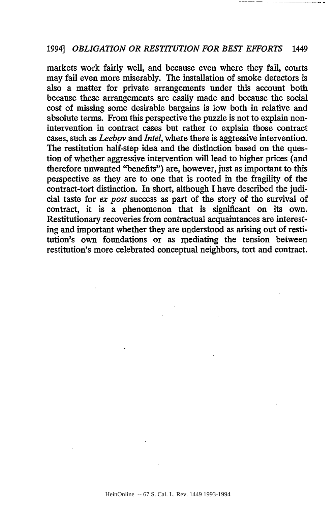markets work fairly well, and because even where they fail, courts may fail even more miserably. The installation of smoke detectors is also a matter for private arrangements under this account both because these arrangements are easily made and because the social cost of missing some desirable bargains is low both in relative and absolute terms. From this perspective the puzzle is not to explain nonintervention in contract cases but rather to explain those contract cases, such as *Leebov and Intel,* where there is aggressive intervention. The restitution half-step idea and the distinction based on the question of whether aggressive intervention will lead to higher prices (and therefore unwanted "benefits") are, however, just as important to this perspective as they are to one that is rooted in the fragility of the contract-tort distinction. In short, although I have described the judicial taste for *ex post* success as part of the story of the survival of contract, it is a phenomenon that is significant on its own. Restitutionary recoveries from contractual acquaintances are interesting and important whether they are understood as arising out of restitution's own foundations or as mediating the tension between restitution's more celebrated conceptual neighbors, tort and contract.